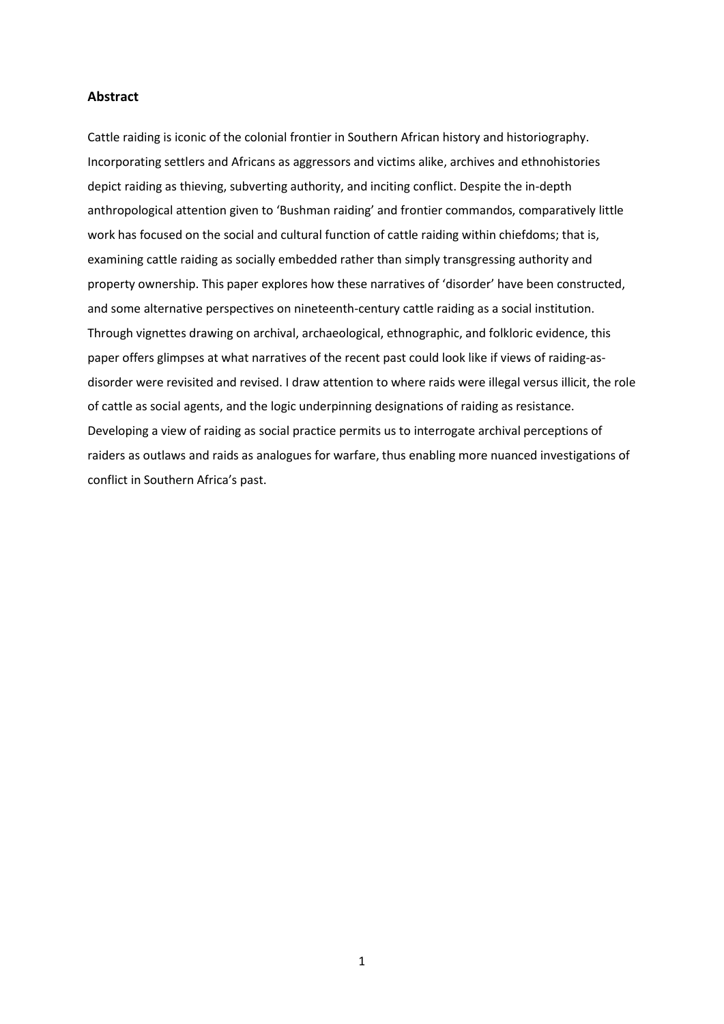## **Abstract**

Cattle raiding is iconic of the colonial frontier in Southern African history and historiography. Incorporating settlers and Africans as aggressors and victims alike, archives and ethnohistories depict raiding as thieving, subverting authority, and inciting conflict. Despite the in-depth anthropological attention given to 'Bushman raiding' and frontier commandos, comparatively little work has focused on the social and cultural function of cattle raiding within chiefdoms; that is, examining cattle raiding as socially embedded rather than simply transgressing authority and property ownership. This paper explores how these narratives of 'disorder' have been constructed, and some alternative perspectives on nineteenth-century cattle raiding as a social institution. Through vignettes drawing on archival, archaeological, ethnographic, and folkloric evidence, this paper offers glimpses at what narratives of the recent past could look like if views of raiding-asdisorder were revisited and revised. I draw attention to where raids were illegal versus illicit, the role of cattle as social agents, and the logic underpinning designations of raiding as resistance. Developing a view of raiding as social practice permits us to interrogate archival perceptions of raiders as outlaws and raids as analogues for warfare, thus enabling more nuanced investigations of conflict in Southern Africa's past.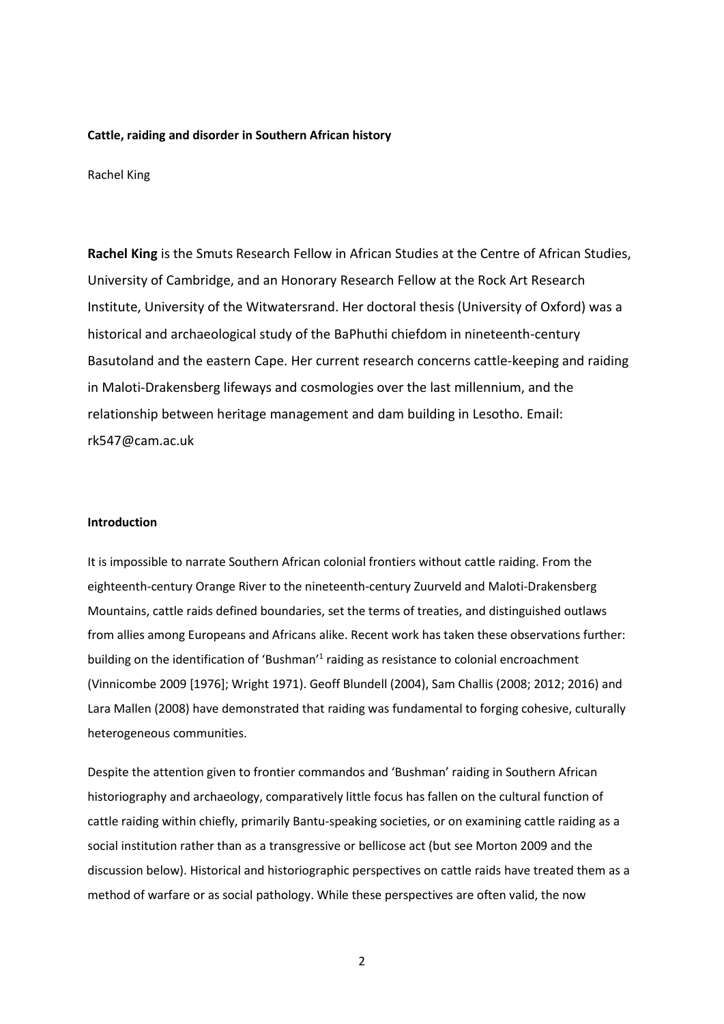#### **Cattle, raiding and disorder in Southern African history**

Rachel King

**Rachel King** is the Smuts Research Fellow in African Studies at the Centre of African Studies, University of Cambridge, and an Honorary Research Fellow at the Rock Art Research Institute, University of the Witwatersrand. Her doctoral thesis (University of Oxford) was a historical and archaeological study of the BaPhuthi chiefdom in nineteenth-century Basutoland and the eastern Cape. Her current research concerns cattle-keeping and raiding in Maloti-Drakensberg lifeways and cosmologies over the last millennium, and the relationship between heritage management and dam building in Lesotho. Email: rk547@cam.ac.uk

#### **Introduction**

It is impossible to narrate Southern African colonial frontiers without cattle raiding. From the eighteenth-century Orange River to the nineteenth-century Zuurveld and Maloti-Drakensberg Mountains, cattle raids defined boundaries, set the terms of treaties, and distinguished outlaws from allies among Europeans and Africans alike. Recent work has taken these observations further: building on the identification of 'Bushman'<sup>1</sup> raiding as resistance to colonial encroachment (Vinnicombe 2009 [1976]; Wright 1971). Geoff Blundell (2004), Sam Challis (2008; 2012; 2016) and Lara Mallen (2008) have demonstrated that raiding was fundamental to forging cohesive, culturally heterogeneous communities.

Despite the attention given to frontier commandos and 'Bushman' raiding in Southern African historiography and archaeology, comparatively little focus has fallen on the cultural function of cattle raiding within chiefly, primarily Bantu-speaking societies, or on examining cattle raiding as a social institution rather than as a transgressive or bellicose act (but see Morton 2009 and the discussion below). Historical and historiographic perspectives on cattle raids have treated them as a method of warfare or as social pathology. While these perspectives are often valid, the now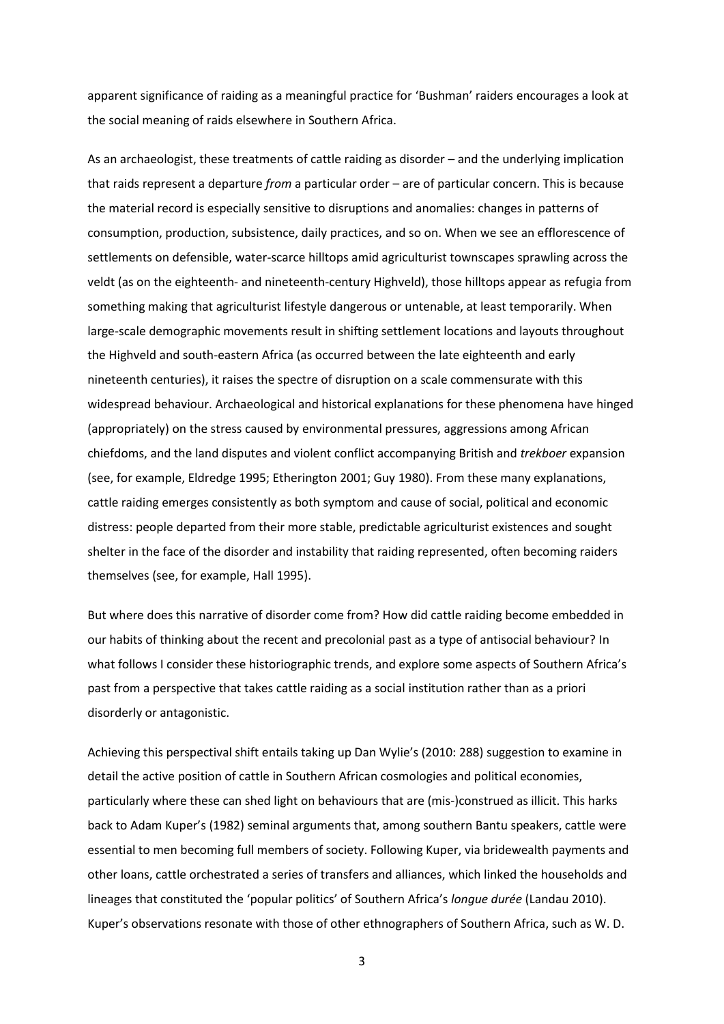apparent significance of raiding as a meaningful practice for 'Bushman' raiders encourages a look at the social meaning of raids elsewhere in Southern Africa.

As an archaeologist, these treatments of cattle raiding as disorder – and the underlying implication that raids represent a departure *from* a particular order – are of particular concern. This is because the material record is especially sensitive to disruptions and anomalies: changes in patterns of consumption, production, subsistence, daily practices, and so on. When we see an efflorescence of settlements on defensible, water-scarce hilltops amid agriculturist townscapes sprawling across the veldt (as on the eighteenth- and nineteenth-century Highveld), those hilltops appear as refugia from something making that agriculturist lifestyle dangerous or untenable, at least temporarily. When large-scale demographic movements result in shifting settlement locations and layouts throughout the Highveld and south-eastern Africa (as occurred between the late eighteenth and early nineteenth centuries), it raises the spectre of disruption on a scale commensurate with this widespread behaviour. Archaeological and historical explanations for these phenomena have hinged (appropriately) on the stress caused by environmental pressures, aggressions among African chiefdoms, and the land disputes and violent conflict accompanying British and *trekboer* expansion (see, for example, Eldredge 1995; Etherington 2001; Guy 1980). From these many explanations, cattle raiding emerges consistently as both symptom and cause of social, political and economic distress: people departed from their more stable, predictable agriculturist existences and sought shelter in the face of the disorder and instability that raiding represented, often becoming raiders themselves (see, for example, Hall 1995).

But where does this narrative of disorder come from? How did cattle raiding become embedded in our habits of thinking about the recent and precolonial past as a type of antisocial behaviour? In what follows I consider these historiographic trends, and explore some aspects of Southern Africa's past from a perspective that takes cattle raiding as a social institution rather than as a priori disorderly or antagonistic.

Achieving this perspectival shift entails taking up Dan Wylie's (2010: 288) suggestion to examine in detail the active position of cattle in Southern African cosmologies and political economies, particularly where these can shed light on behaviours that are (mis-)construed as illicit. This harks back to Adam Kuper's (1982) seminal arguments that, among southern Bantu speakers, cattle were essential to men becoming full members of society. Following Kuper, via bridewealth payments and other loans, cattle orchestrated a series of transfers and alliances, which linked the households and lineages that constituted the 'popular politics' of Southern Africa's *longue durée* (Landau 2010). Kuper's observations resonate with those of other ethnographers of Southern Africa, such as W. D.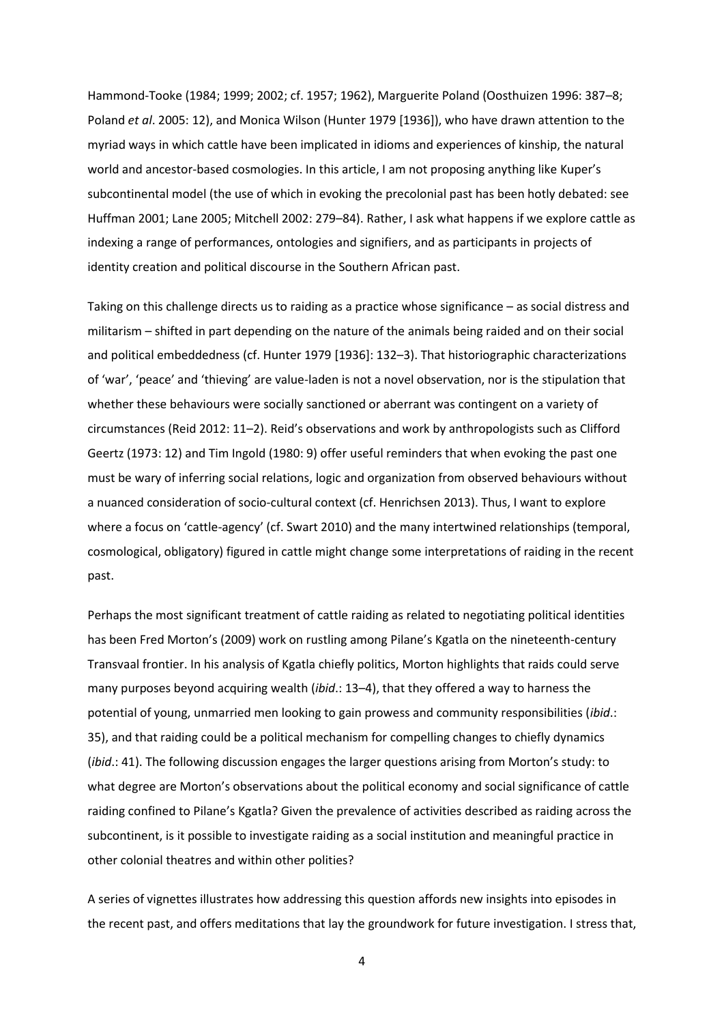Hammond-Tooke (1984; 1999; 2002; cf. 1957; 1962), Marguerite Poland (Oosthuizen 1996: 387–8; Poland *et al*. 2005: 12), and Monica Wilson (Hunter 1979 [1936]), who have drawn attention to the myriad ways in which cattle have been implicated in idioms and experiences of kinship, the natural world and ancestor-based cosmologies. In this article, I am not proposing anything like Kuper's subcontinental model (the use of which in evoking the precolonial past has been hotly debated: see Huffman 2001; Lane 2005; Mitchell 2002: 279–84). Rather, I ask what happens if we explore cattle as indexing a range of performances, ontologies and signifiers, and as participants in projects of identity creation and political discourse in the Southern African past.

Taking on this challenge directs us to raiding as a practice whose significance – as social distress and militarism – shifted in part depending on the nature of the animals being raided and on their social and political embeddedness (cf. Hunter 1979 [1936]: 132–3). That historiographic characterizations of 'war', 'peace' and 'thieving' are value-laden is not a novel observation, nor is the stipulation that whether these behaviours were socially sanctioned or aberrant was contingent on a variety of circumstances (Reid 2012: 11–2). Reid's observations and work by anthropologists such as Clifford Geertz (1973: 12) and Tim Ingold (1980: 9) offer useful reminders that when evoking the past one must be wary of inferring social relations, logic and organization from observed behaviours without a nuanced consideration of socio-cultural context (cf. Henrichsen 2013). Thus, I want to explore where a focus on 'cattle-agency' (cf. Swart 2010) and the many intertwined relationships (temporal, cosmological, obligatory) figured in cattle might change some interpretations of raiding in the recent past.

Perhaps the most significant treatment of cattle raiding as related to negotiating political identities has been Fred Morton's (2009) work on rustling among Pilane's Kgatla on the nineteenth-century Transvaal frontier. In his analysis of Kgatla chiefly politics, Morton highlights that raids could serve many purposes beyond acquiring wealth (*ibid*.: 13–4), that they offered a way to harness the potential of young, unmarried men looking to gain prowess and community responsibilities (*ibid*.: 35), and that raiding could be a political mechanism for compelling changes to chiefly dynamics (*ibid*.: 41). The following discussion engages the larger questions arising from Morton's study: to what degree are Morton's observations about the political economy and social significance of cattle raiding confined to Pilane's Kgatla? Given the prevalence of activities described as raiding across the subcontinent, is it possible to investigate raiding as a social institution and meaningful practice in other colonial theatres and within other polities?

A series of vignettes illustrates how addressing this question affords new insights into episodes in the recent past, and offers meditations that lay the groundwork for future investigation. I stress that,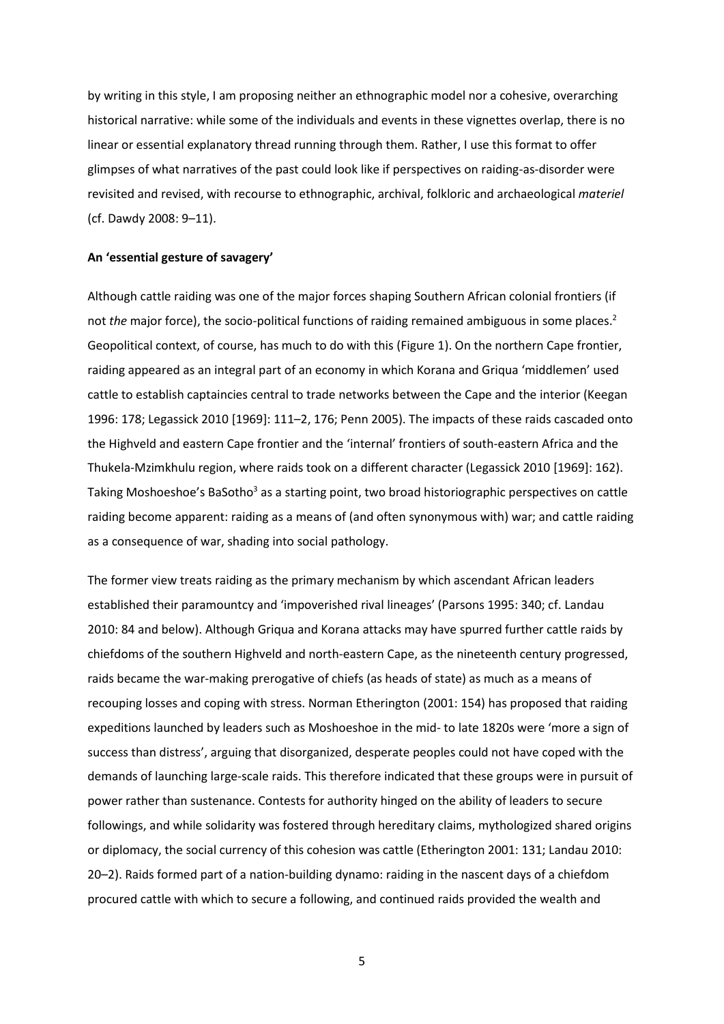by writing in this style, I am proposing neither an ethnographic model nor a cohesive, overarching historical narrative: while some of the individuals and events in these vignettes overlap, there is no linear or essential explanatory thread running through them. Rather, I use this format to offer glimpses of what narratives of the past could look like if perspectives on raiding-as-disorder were revisited and revised, with recourse to ethnographic, archival, folkloric and archaeological *materiel* (cf. Dawdy 2008: 9–11).

### **An 'essential gesture of savagery'**

Although cattle raiding was one of the major forces shaping Southern African colonial frontiers (if not *the* major force), the socio-political functions of raiding remained ambiguous in some places.<sup>2</sup> Geopolitical context, of course, has much to do with this (Figure 1). On the northern Cape frontier, raiding appeared as an integral part of an economy in which Korana and Griqua 'middlemen' used cattle to establish captaincies central to trade networks between the Cape and the interior (Keegan 1996: 178; Legassick 2010 [1969]: 111–2, 176; Penn 2005). The impacts of these raids cascaded onto the Highveld and eastern Cape frontier and the 'internal' frontiers of south-eastern Africa and the Thukela-Mzimkhulu region, where raids took on a different character (Legassick 2010 [1969]: 162). Taking Moshoeshoe's BaSotho<sup>3</sup> as a starting point, two broad historiographic perspectives on cattle raiding become apparent: raiding as a means of (and often synonymous with) war; and cattle raiding as a consequence of war, shading into social pathology.

The former view treats raiding as the primary mechanism by which ascendant African leaders established their paramountcy and 'impoverished rival lineages' (Parsons 1995: 340; cf. Landau 2010: 84 and below). Although Griqua and Korana attacks may have spurred further cattle raids by chiefdoms of the southern Highveld and north-eastern Cape, as the nineteenth century progressed, raids became the war-making prerogative of chiefs (as heads of state) as much as a means of recouping losses and coping with stress. Norman Etherington (2001: 154) has proposed that raiding expeditions launched by leaders such as Moshoeshoe in the mid- to late 1820s were 'more a sign of success than distress', arguing that disorganized, desperate peoples could not have coped with the demands of launching large-scale raids. This therefore indicated that these groups were in pursuit of power rather than sustenance. Contests for authority hinged on the ability of leaders to secure followings, and while solidarity was fostered through hereditary claims, mythologized shared origins or diplomacy, the social currency of this cohesion was cattle (Etherington 2001: 131; Landau 2010: 20–2). Raids formed part of a nation-building dynamo: raiding in the nascent days of a chiefdom procured cattle with which to secure a following, and continued raids provided the wealth and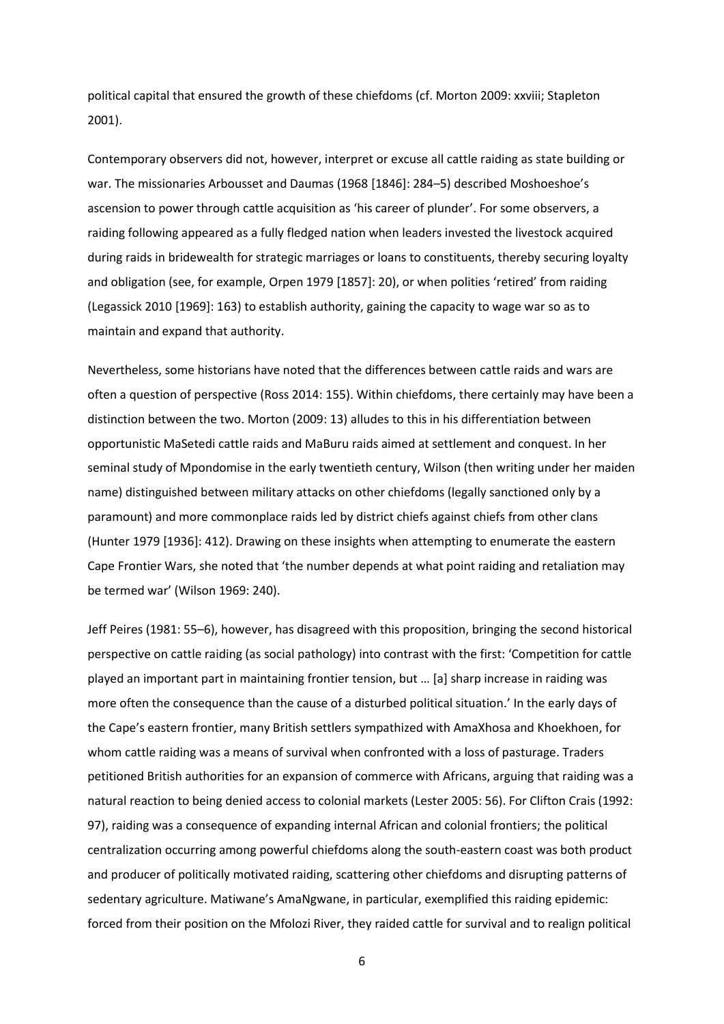political capital that ensured the growth of these chiefdoms (cf. Morton 2009: xxviii; Stapleton 2001).

Contemporary observers did not, however, interpret or excuse all cattle raiding as state building or war. The missionaries Arbousset and Daumas (1968 [1846]: 284–5) described Moshoeshoe's ascension to power through cattle acquisition as 'his career of plunder'. For some observers, a raiding following appeared as a fully fledged nation when leaders invested the livestock acquired during raids in bridewealth for strategic marriages or loans to constituents, thereby securing loyalty and obligation (see, for example, Orpen 1979 [1857]: 20), or when polities 'retired' from raiding (Legassick 2010 [1969]: 163) to establish authority, gaining the capacity to wage war so as to maintain and expand that authority.

Nevertheless, some historians have noted that the differences between cattle raids and wars are often a question of perspective (Ross 2014: 155). Within chiefdoms, there certainly may have been a distinction between the two. Morton (2009: 13) alludes to this in his differentiation between opportunistic MaSetedi cattle raids and MaBuru raids aimed at settlement and conquest. In her seminal study of Mpondomise in the early twentieth century, Wilson (then writing under her maiden name) distinguished between military attacks on other chiefdoms (legally sanctioned only by a paramount) and more commonplace raids led by district chiefs against chiefs from other clans (Hunter 1979 [1936]: 412). Drawing on these insights when attempting to enumerate the eastern Cape Frontier Wars, she noted that 'the number depends at what point raiding and retaliation may be termed war' (Wilson 1969: 240).

Jeff Peires (1981: 55–6), however, has disagreed with this proposition, bringing the second historical perspective on cattle raiding (as social pathology) into contrast with the first: 'Competition for cattle played an important part in maintaining frontier tension, but … [a] sharp increase in raiding was more often the consequence than the cause of a disturbed political situation.' In the early days of the Cape's eastern frontier, many British settlers sympathized with AmaXhosa and Khoekhoen, for whom cattle raiding was a means of survival when confronted with a loss of pasturage. Traders petitioned British authorities for an expansion of commerce with Africans, arguing that raiding was a natural reaction to being denied access to colonial markets (Lester 2005: 56). For Clifton Crais (1992: 97), raiding was a consequence of expanding internal African and colonial frontiers; the political centralization occurring among powerful chiefdoms along the south-eastern coast was both product and producer of politically motivated raiding, scattering other chiefdoms and disrupting patterns of sedentary agriculture. Matiwane's AmaNgwane, in particular, exemplified this raiding epidemic: forced from their position on the Mfolozi River, they raided cattle for survival and to realign political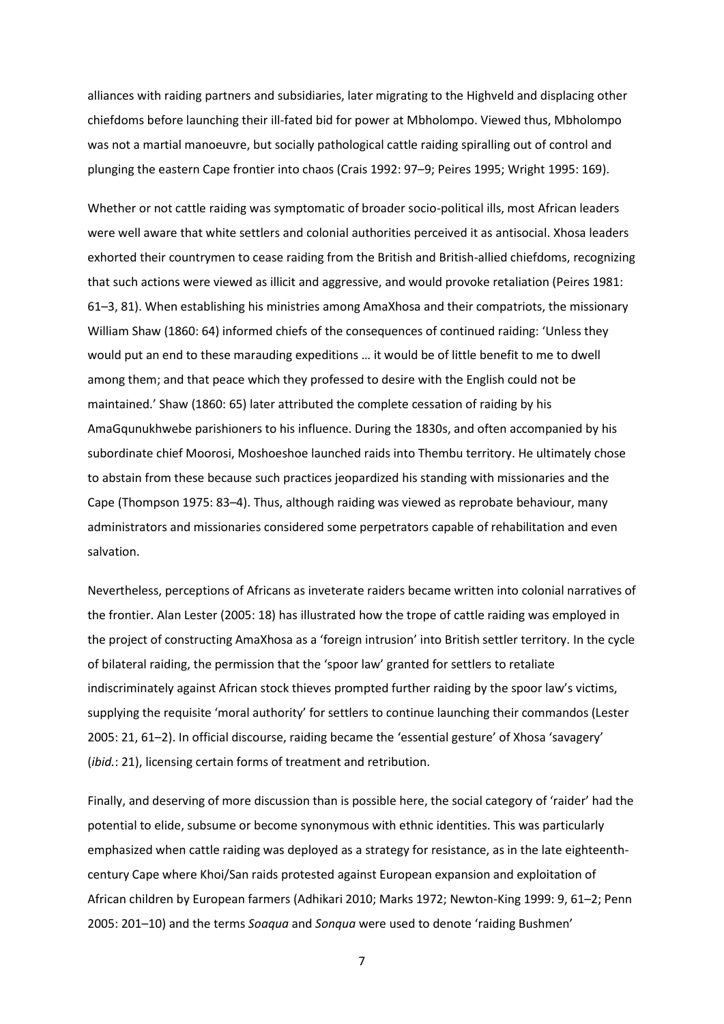alliances with raiding partners and subsidiaries, later migrating to the Highveld and displacing other chiefdoms before launching their ill-fated bid for power at Mbholompo. Viewed thus, Mbholompo was not a martial manoeuvre, but socially pathological cattle raiding spiralling out of control and plunging the eastern Cape frontier into chaos (Crais 1992: 97–9; Peires 1995; Wright 1995: 169).

Whether or not cattle raiding was symptomatic of broader socio-political ills, most African leaders were well aware that white settlers and colonial authorities perceived it as antisocial. Xhosa leaders exhorted their countrymen to cease raiding from the British and British-allied chiefdoms, recognizing that such actions were viewed as illicit and aggressive, and would provoke retaliation (Peires 1981: 61–3, 81). When establishing his ministries among AmaXhosa and their compatriots, the missionary William Shaw (1860: 64) informed chiefs of the consequences of continued raiding: 'Unless they would put an end to these marauding expeditions … it would be of little benefit to me to dwell among them; and that peace which they professed to desire with the English could not be maintained.' Shaw (1860: 65) later attributed the complete cessation of raiding by his AmaGqunukhwebe parishioners to his influence. During the 1830s, and often accompanied by his subordinate chief Moorosi, Moshoeshoe launched raids into Thembu territory. He ultimately chose to abstain from these because such practices jeopardized his standing with missionaries and the Cape (Thompson 1975: 83–4). Thus, although raiding was viewed as reprobate behaviour, many administrators and missionaries considered some perpetrators capable of rehabilitation and even salvation.

Nevertheless, perceptions of Africans as inveterate raiders became written into colonial narratives of the frontier. Alan Lester (2005: 18) has illustrated how the trope of cattle raiding was employed in the project of constructing AmaXhosa as a 'foreign intrusion' into British settler territory. In the cycle of bilateral raiding, the permission that the 'spoor law' granted for settlers to retaliate indiscriminately against African stock thieves prompted further raiding by the spoor law's victims, supplying the requisite 'moral authority' for settlers to continue launching their commandos (Lester 2005: 21, 61–2). In official discourse, raiding became the 'essential gesture' of Xhosa 'savagery' (*ibid.*: 21), licensing certain forms of treatment and retribution.

Finally, and deserving of more discussion than is possible here, the social category of 'raider' had the potential to elide, subsume or become synonymous with ethnic identities. This was particularly emphasized when cattle raiding was deployed as a strategy for resistance, as in the late eighteenthcentury Cape where Khoi/San raids protested against European expansion and exploitation of African children by European farmers (Adhikari 2010; Marks 1972; Newton-King 1999: 9, 61–2; Penn 2005: 201–10) and the terms *Soaqua* and *Sonqua* were used to denote 'raiding Bushmen'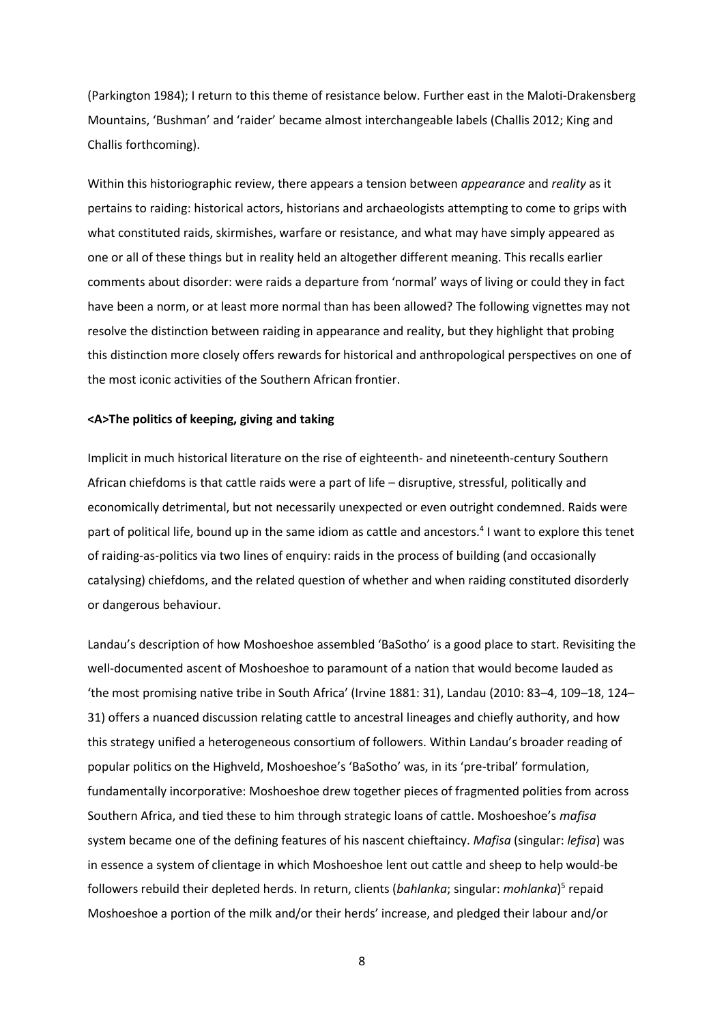(Parkington 1984); I return to this theme of resistance below. Further east in the Maloti-Drakensberg Mountains, 'Bushman' and 'raider' became almost interchangeable labels (Challis 2012; King and Challis forthcoming).

Within this historiographic review, there appears a tension between *appearance* and *reality* as it pertains to raiding: historical actors, historians and archaeologists attempting to come to grips with what constituted raids, skirmishes, warfare or resistance, and what may have simply appeared as one or all of these things but in reality held an altogether different meaning. This recalls earlier comments about disorder: were raids a departure from 'normal' ways of living or could they in fact have been a norm, or at least more normal than has been allowed? The following vignettes may not resolve the distinction between raiding in appearance and reality, but they highlight that probing this distinction more closely offers rewards for historical and anthropological perspectives on one of the most iconic activities of the Southern African frontier.

## **<A>The politics of keeping, giving and taking**

Implicit in much historical literature on the rise of eighteenth- and nineteenth-century Southern African chiefdoms is that cattle raids were a part of life – disruptive, stressful, politically and economically detrimental, but not necessarily unexpected or even outright condemned. Raids were part of political life, bound up in the same idiom as cattle and ancestors. 4 I want to explore this tenet of raiding-as-politics via two lines of enquiry: raids in the process of building (and occasionally catalysing) chiefdoms, and the related question of whether and when raiding constituted disorderly or dangerous behaviour.

Landau's description of how Moshoeshoe assembled 'BaSotho' is a good place to start. Revisiting the well-documented ascent of Moshoeshoe to paramount of a nation that would become lauded as 'the most promising native tribe in South Africa' (Irvine 1881: 31), Landau (2010: 83–4, 109–18, 124– 31) offers a nuanced discussion relating cattle to ancestral lineages and chiefly authority, and how this strategy unified a heterogeneous consortium of followers. Within Landau's broader reading of popular politics on the Highveld, Moshoeshoe's 'BaSotho' was, in its 'pre-tribal' formulation, fundamentally incorporative: Moshoeshoe drew together pieces of fragmented polities from across Southern Africa, and tied these to him through strategic loans of cattle. Moshoeshoe's *mafisa* system became one of the defining features of his nascent chieftaincy. *Mafisa* (singular: *lefisa*) was in essence a system of clientage in which Moshoeshoe lent out cattle and sheep to help would-be followers rebuild their depleted herds. In return, clients (*bahlanka*; singular: *mohlanka*) 5 repaid Moshoeshoe a portion of the milk and/or their herds' increase, and pledged their labour and/or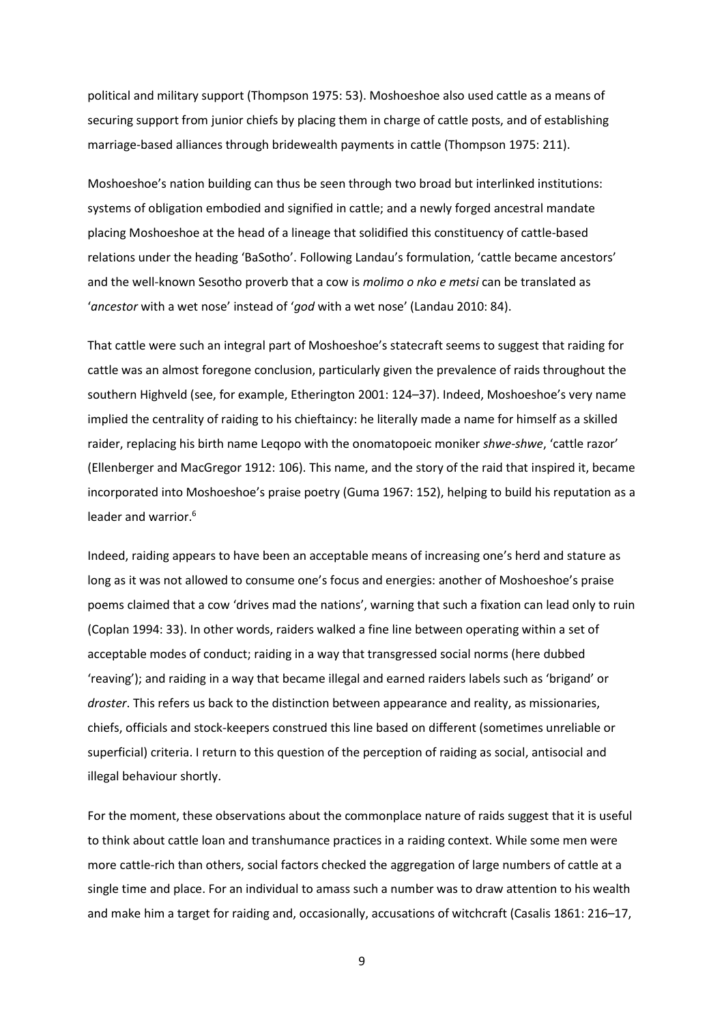political and military support (Thompson 1975: 53). Moshoeshoe also used cattle as a means of securing support from junior chiefs by placing them in charge of cattle posts, and of establishing marriage-based alliances through bridewealth payments in cattle (Thompson 1975: 211).

Moshoeshoe's nation building can thus be seen through two broad but interlinked institutions: systems of obligation embodied and signified in cattle; and a newly forged ancestral mandate placing Moshoeshoe at the head of a lineage that solidified this constituency of cattle-based relations under the heading 'BaSotho'. Following Landau's formulation, 'cattle became ancestors' and the well-known Sesotho proverb that a cow is *molimo o nko e metsi* can be translated as '*ancestor* with a wet nose' instead of '*god* with a wet nose' (Landau 2010: 84).

That cattle were such an integral part of Moshoeshoe's statecraft seems to suggest that raiding for cattle was an almost foregone conclusion, particularly given the prevalence of raids throughout the southern Highveld (see, for example, Etherington 2001: 124–37). Indeed, Moshoeshoe's very name implied the centrality of raiding to his chieftaincy: he literally made a name for himself as a skilled raider, replacing his birth name Leqopo with the onomatopoeic moniker *shwe-shwe*, 'cattle razor' (Ellenberger and MacGregor 1912: 106). This name, and the story of the raid that inspired it, became incorporated into Moshoeshoe's praise poetry (Guma 1967: 152), helping to build his reputation as a leader and warrior.<sup>6</sup>

Indeed, raiding appears to have been an acceptable means of increasing one's herd and stature as long as it was not allowed to consume one's focus and energies: another of Moshoeshoe's praise poems claimed that a cow 'drives mad the nations', warning that such a fixation can lead only to ruin (Coplan 1994: 33). In other words, raiders walked a fine line between operating within a set of acceptable modes of conduct; raiding in a way that transgressed social norms (here dubbed 'reaving'); and raiding in a way that became illegal and earned raiders labels such as 'brigand' or *droster*. This refers us back to the distinction between appearance and reality, as missionaries, chiefs, officials and stock-keepers construed this line based on different (sometimes unreliable or superficial) criteria. I return to this question of the perception of raiding as social, antisocial and illegal behaviour shortly.

For the moment, these observations about the commonplace nature of raids suggest that it is useful to think about cattle loan and transhumance practices in a raiding context. While some men were more cattle-rich than others, social factors checked the aggregation of large numbers of cattle at a single time and place. For an individual to amass such a number was to draw attention to his wealth and make him a target for raiding and, occasionally, accusations of witchcraft (Casalis 1861: 216–17,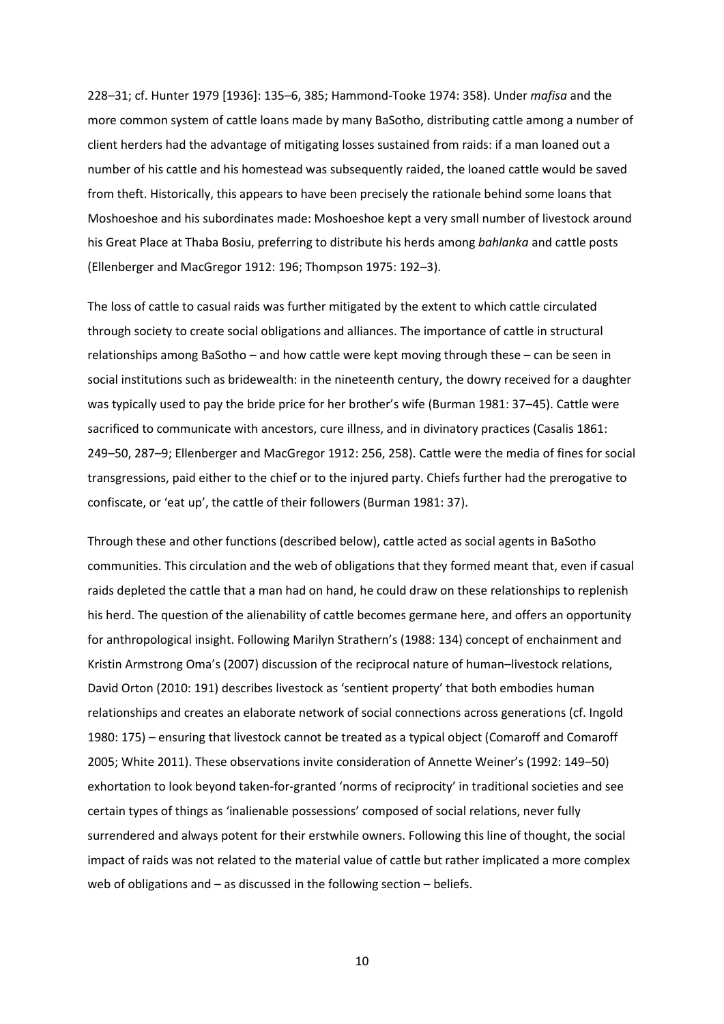228–31; cf. Hunter 1979 [1936]: 135–6, 385; Hammond-Tooke 1974: 358). Under *mafisa* and the more common system of cattle loans made by many BaSotho, distributing cattle among a number of client herders had the advantage of mitigating losses sustained from raids: if a man loaned out a number of his cattle and his homestead was subsequently raided, the loaned cattle would be saved from theft. Historically, this appears to have been precisely the rationale behind some loans that Moshoeshoe and his subordinates made: Moshoeshoe kept a very small number of livestock around his Great Place at Thaba Bosiu, preferring to distribute his herds among *bahlanka* and cattle posts (Ellenberger and MacGregor 1912: 196; Thompson 1975: 192–3).

The loss of cattle to casual raids was further mitigated by the extent to which cattle circulated through society to create social obligations and alliances. The importance of cattle in structural relationships among BaSotho – and how cattle were kept moving through these – can be seen in social institutions such as bridewealth: in the nineteenth century, the dowry received for a daughter was typically used to pay the bride price for her brother's wife (Burman 1981: 37–45). Cattle were sacrificed to communicate with ancestors, cure illness, and in divinatory practices (Casalis 1861: 249–50, 287–9; Ellenberger and MacGregor 1912: 256, 258). Cattle were the media of fines for social transgressions, paid either to the chief or to the injured party. Chiefs further had the prerogative to confiscate, or 'eat up', the cattle of their followers (Burman 1981: 37).

Through these and other functions (described below), cattle acted as social agents in BaSotho communities. This circulation and the web of obligations that they formed meant that, even if casual raids depleted the cattle that a man had on hand, he could draw on these relationships to replenish his herd. The question of the alienability of cattle becomes germane here, and offers an opportunity for anthropological insight. Following Marilyn Strathern's (1988: 134) concept of enchainment and Kristin Armstrong Oma's (2007) discussion of the reciprocal nature of human–livestock relations, David Orton (2010: 191) describes livestock as 'sentient property' that both embodies human relationships and creates an elaborate network of social connections across generations (cf. Ingold 1980: 175) – ensuring that livestock cannot be treated as a typical object (Comaroff and Comaroff 2005; White 2011). These observations invite consideration of Annette Weiner's (1992: 149–50) exhortation to look beyond taken-for-granted 'norms of reciprocity' in traditional societies and see certain types of things as 'inalienable possessions' composed of social relations, never fully surrendered and always potent for their erstwhile owners. Following this line of thought, the social impact of raids was not related to the material value of cattle but rather implicated a more complex web of obligations and – as discussed in the following section – beliefs.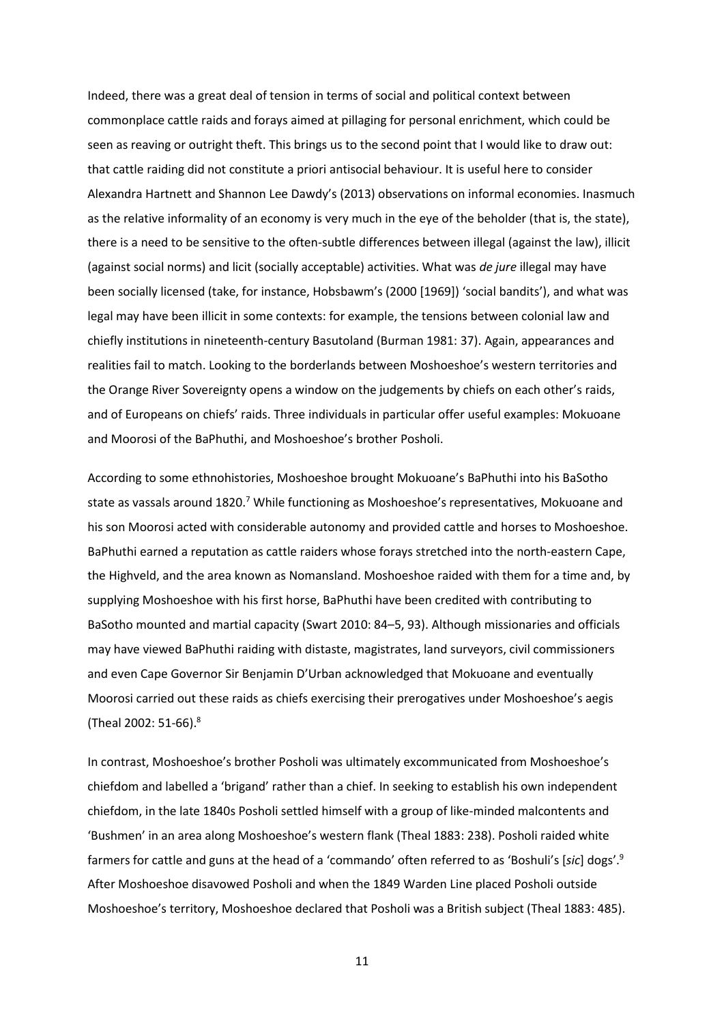Indeed, there was a great deal of tension in terms of social and political context between commonplace cattle raids and forays aimed at pillaging for personal enrichment, which could be seen as reaving or outright theft. This brings us to the second point that I would like to draw out: that cattle raiding did not constitute a priori antisocial behaviour. It is useful here to consider Alexandra Hartnett and Shannon Lee Dawdy's (2013) observations on informal economies. Inasmuch as the relative informality of an economy is very much in the eye of the beholder (that is, the state), there is a need to be sensitive to the often-subtle differences between illegal (against the law), illicit (against social norms) and licit (socially acceptable) activities. What was *de jure* illegal may have been socially licensed (take, for instance, Hobsbawm's (2000 [1969]) 'social bandits'), and what was legal may have been illicit in some contexts: for example, the tensions between colonial law and chiefly institutions in nineteenth-century Basutoland (Burman 1981: 37). Again, appearances and realities fail to match. Looking to the borderlands between Moshoeshoe's western territories and the Orange River Sovereignty opens a window on the judgements by chiefs on each other's raids, and of Europeans on chiefs' raids. Three individuals in particular offer useful examples: Mokuoane and Moorosi of the BaPhuthi, and Moshoeshoe's brother Posholi.

According to some ethnohistories, Moshoeshoe brought Mokuoane's BaPhuthi into his BaSotho state as vassals around 1820.<sup>7</sup> While functioning as Moshoeshoe's representatives, Mokuoane and his son Moorosi acted with considerable autonomy and provided cattle and horses to Moshoeshoe. BaPhuthi earned a reputation as cattle raiders whose forays stretched into the north-eastern Cape, the Highveld, and the area known as Nomansland. Moshoeshoe raided with them for a time and, by supplying Moshoeshoe with his first horse, BaPhuthi have been credited with contributing to BaSotho mounted and martial capacity (Swart 2010: 84–5, 93). Although missionaries and officials may have viewed BaPhuthi raiding with distaste, magistrates, land surveyors, civil commissioners and even Cape Governor Sir Benjamin D'Urban acknowledged that Mokuoane and eventually Moorosi carried out these raids as chiefs exercising their prerogatives under Moshoeshoe's aegis (Theal 2002: 51-66).<sup>8</sup>

In contrast, Moshoeshoe's brother Posholi was ultimately excommunicated from Moshoeshoe's chiefdom and labelled a 'brigand' rather than a chief. In seeking to establish his own independent chiefdom, in the late 1840s Posholi settled himself with a group of like-minded malcontents and 'Bushmen' in an area along Moshoeshoe's western flank (Theal 1883: 238). Posholi raided white farmers for cattle and guns at the head of a 'commando' often referred to as 'Boshuli's [*sic*] dogs'.<sup>9</sup> After Moshoeshoe disavowed Posholi and when the 1849 Warden Line placed Posholi outside Moshoeshoe's territory, Moshoeshoe declared that Posholi was a British subject (Theal 1883: 485).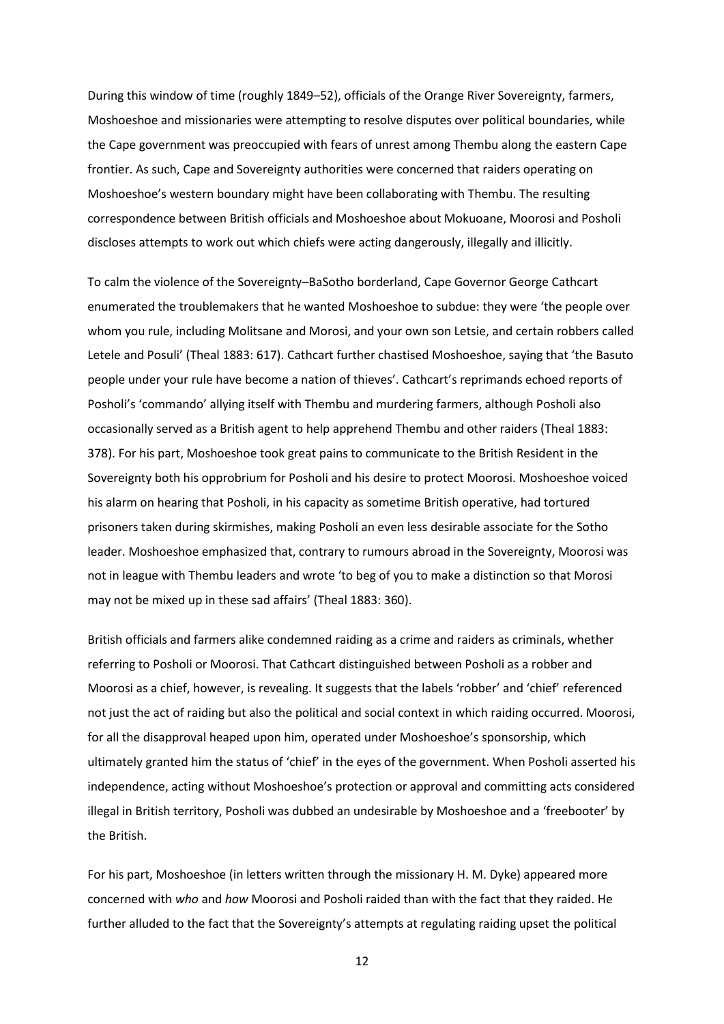During this window of time (roughly 1849–52), officials of the Orange River Sovereignty, farmers, Moshoeshoe and missionaries were attempting to resolve disputes over political boundaries, while the Cape government was preoccupied with fears of unrest among Thembu along the eastern Cape frontier. As such, Cape and Sovereignty authorities were concerned that raiders operating on Moshoeshoe's western boundary might have been collaborating with Thembu. The resulting correspondence between British officials and Moshoeshoe about Mokuoane, Moorosi and Posholi discloses attempts to work out which chiefs were acting dangerously, illegally and illicitly.

To calm the violence of the Sovereignty–BaSotho borderland, Cape Governor George Cathcart enumerated the troublemakers that he wanted Moshoeshoe to subdue: they were 'the people over whom you rule, including Molitsane and Morosi, and your own son Letsie, and certain robbers called Letele and Posuli' (Theal 1883: 617). Cathcart further chastised Moshoeshoe, saying that 'the Basuto people under your rule have become a nation of thieves'. Cathcart's reprimands echoed reports of Posholi's 'commando' allying itself with Thembu and murdering farmers, although Posholi also occasionally served as a British agent to help apprehend Thembu and other raiders (Theal 1883: 378). For his part, Moshoeshoe took great pains to communicate to the British Resident in the Sovereignty both his opprobrium for Posholi and his desire to protect Moorosi. Moshoeshoe voiced his alarm on hearing that Posholi, in his capacity as sometime British operative, had tortured prisoners taken during skirmishes, making Posholi an even less desirable associate for the Sotho leader. Moshoeshoe emphasized that, contrary to rumours abroad in the Sovereignty, Moorosi was not in league with Thembu leaders and wrote 'to beg of you to make a distinction so that Morosi may not be mixed up in these sad affairs' (Theal 1883: 360).

British officials and farmers alike condemned raiding as a crime and raiders as criminals, whether referring to Posholi or Moorosi. That Cathcart distinguished between Posholi as a robber and Moorosi as a chief, however, is revealing. It suggests that the labels 'robber' and 'chief' referenced not just the act of raiding but also the political and social context in which raiding occurred. Moorosi, for all the disapproval heaped upon him, operated under Moshoeshoe's sponsorship, which ultimately granted him the status of 'chief' in the eyes of the government. When Posholi asserted his independence, acting without Moshoeshoe's protection or approval and committing acts considered illegal in British territory, Posholi was dubbed an undesirable by Moshoeshoe and a 'freebooter' by the British.

For his part, Moshoeshoe (in letters written through the missionary H. M. Dyke) appeared more concerned with *who* and *how* Moorosi and Posholi raided than with the fact that they raided. He further alluded to the fact that the Sovereignty's attempts at regulating raiding upset the political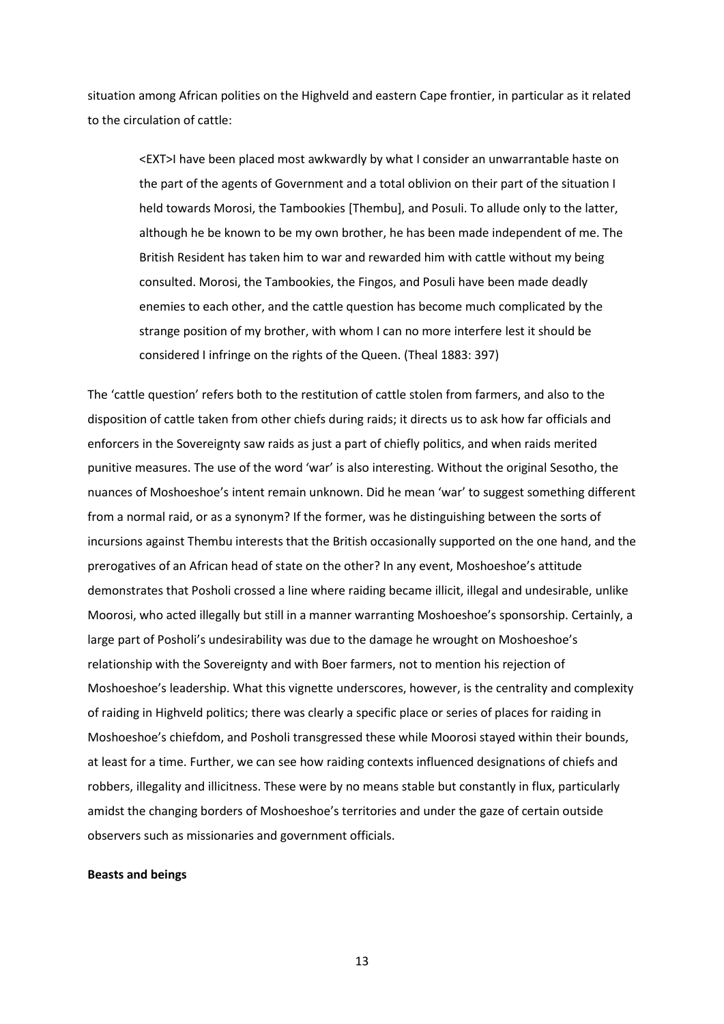situation among African polities on the Highveld and eastern Cape frontier, in particular as it related to the circulation of cattle:

<EXT>I have been placed most awkwardly by what I consider an unwarrantable haste on the part of the agents of Government and a total oblivion on their part of the situation I held towards Morosi, the Tambookies [Thembu], and Posuli. To allude only to the latter, although he be known to be my own brother, he has been made independent of me. The British Resident has taken him to war and rewarded him with cattle without my being consulted. Morosi, the Tambookies, the Fingos, and Posuli have been made deadly enemies to each other, and the cattle question has become much complicated by the strange position of my brother, with whom I can no more interfere lest it should be considered I infringe on the rights of the Queen. (Theal 1883: 397)

The 'cattle question' refers both to the restitution of cattle stolen from farmers, and also to the disposition of cattle taken from other chiefs during raids; it directs us to ask how far officials and enforcers in the Sovereignty saw raids as just a part of chiefly politics, and when raids merited punitive measures. The use of the word 'war' is also interesting. Without the original Sesotho, the nuances of Moshoeshoe's intent remain unknown. Did he mean 'war' to suggest something different from a normal raid, or as a synonym? If the former, was he distinguishing between the sorts of incursions against Thembu interests that the British occasionally supported on the one hand, and the prerogatives of an African head of state on the other? In any event, Moshoeshoe's attitude demonstrates that Posholi crossed a line where raiding became illicit, illegal and undesirable, unlike Moorosi, who acted illegally but still in a manner warranting Moshoeshoe's sponsorship. Certainly, a large part of Posholi's undesirability was due to the damage he wrought on Moshoeshoe's relationship with the Sovereignty and with Boer farmers, not to mention his rejection of Moshoeshoe's leadership. What this vignette underscores, however, is the centrality and complexity of raiding in Highveld politics; there was clearly a specific place or series of places for raiding in Moshoeshoe's chiefdom, and Posholi transgressed these while Moorosi stayed within their bounds, at least for a time. Further, we can see how raiding contexts influenced designations of chiefs and robbers, illegality and illicitness. These were by no means stable but constantly in flux, particularly amidst the changing borders of Moshoeshoe's territories and under the gaze of certain outside observers such as missionaries and government officials.

## **Beasts and beings**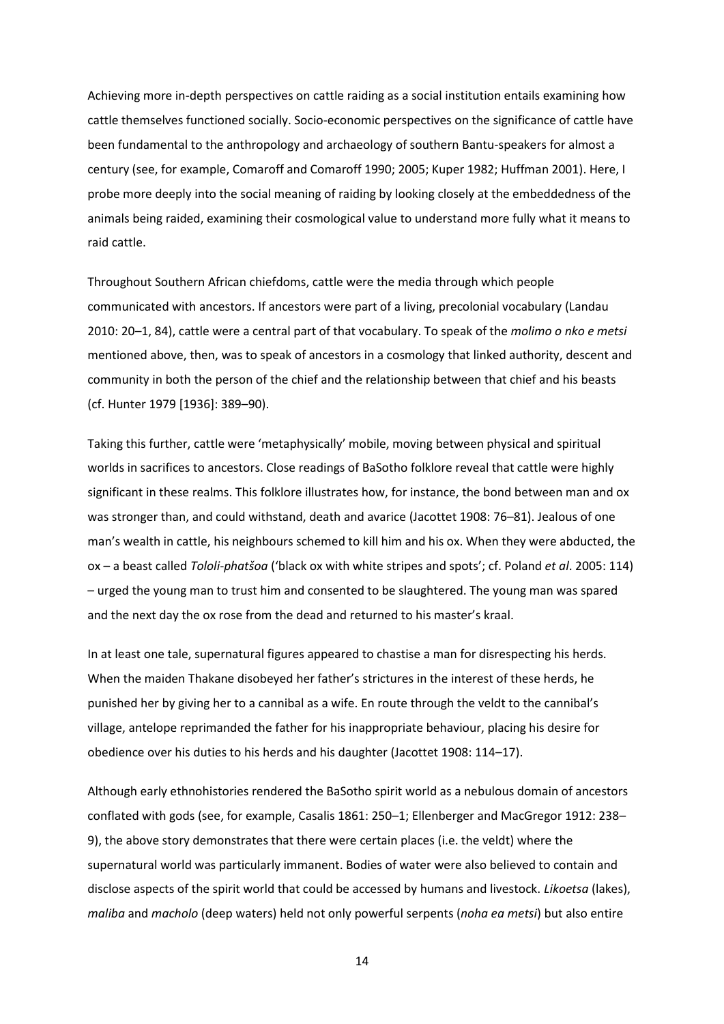Achieving more in-depth perspectives on cattle raiding as a social institution entails examining how cattle themselves functioned socially. Socio-economic perspectives on the significance of cattle have been fundamental to the anthropology and archaeology of southern Bantu-speakers for almost a century (see, for example, Comaroff and Comaroff 1990; 2005; Kuper 1982; Huffman 2001). Here, I probe more deeply into the social meaning of raiding by looking closely at the embeddedness of the animals being raided, examining their cosmological value to understand more fully what it means to raid cattle.

Throughout Southern African chiefdoms, cattle were the media through which people communicated with ancestors. If ancestors were part of a living, precolonial vocabulary (Landau 2010: 20–1, 84), cattle were a central part of that vocabulary. To speak of the *molimo o nko e metsi* mentioned above, then, was to speak of ancestors in a cosmology that linked authority, descent and community in both the person of the chief and the relationship between that chief and his beasts (cf. Hunter 1979 [1936]: 389–90).

Taking this further, cattle were 'metaphysically' mobile, moving between physical and spiritual worlds in sacrifices to ancestors. Close readings of BaSotho folklore reveal that cattle were highly significant in these realms. This folklore illustrates how, for instance, the bond between man and ox was stronger than, and could withstand, death and avarice (Jacottet 1908: 76–81). Jealous of one man's wealth in cattle, his neighbours schemed to kill him and his ox. When they were abducted, the ox – a beast called *Tololi-phatšoa* ('black ox with white stripes and spots'; cf. Poland *et al*. 2005: 114) – urged the young man to trust him and consented to be slaughtered. The young man was spared and the next day the ox rose from the dead and returned to his master's kraal.

In at least one tale, supernatural figures appeared to chastise a man for disrespecting his herds. When the maiden Thakane disobeyed her father's strictures in the interest of these herds, he punished her by giving her to a cannibal as a wife. En route through the veldt to the cannibal's village, antelope reprimanded the father for his inappropriate behaviour, placing his desire for obedience over his duties to his herds and his daughter (Jacottet 1908: 114–17).

Although early ethnohistories rendered the BaSotho spirit world as a nebulous domain of ancestors conflated with gods (see, for example, Casalis 1861: 250–1; Ellenberger and MacGregor 1912: 238– 9), the above story demonstrates that there were certain places (i.e. the veldt) where the supernatural world was particularly immanent. Bodies of water were also believed to contain and disclose aspects of the spirit world that could be accessed by humans and livestock. *Likoetsa* (lakes), *maliba* and *macholo* (deep waters) held not only powerful serpents (*noha ea metsi*) but also entire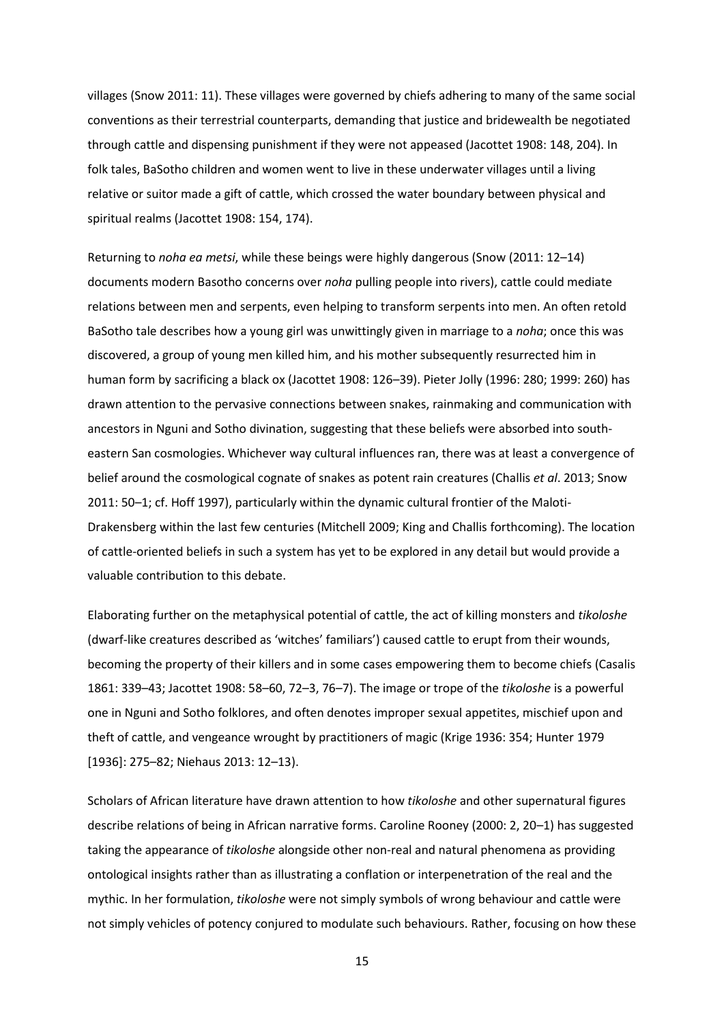villages (Snow 2011: 11). These villages were governed by chiefs adhering to many of the same social conventions as their terrestrial counterparts, demanding that justice and bridewealth be negotiated through cattle and dispensing punishment if they were not appeased (Jacottet 1908: 148, 204). In folk tales, BaSotho children and women went to live in these underwater villages until a living relative or suitor made a gift of cattle, which crossed the water boundary between physical and spiritual realms (Jacottet 1908: 154, 174).

Returning to *noha ea metsi*, while these beings were highly dangerous (Snow (2011: 12–14) documents modern Basotho concerns over *noha* pulling people into rivers), cattle could mediate relations between men and serpents, even helping to transform serpents into men. An often retold BaSotho tale describes how a young girl was unwittingly given in marriage to a *noha*; once this was discovered, a group of young men killed him, and his mother subsequently resurrected him in human form by sacrificing a black ox (Jacottet 1908: 126–39). Pieter Jolly (1996: 280; 1999: 260) has drawn attention to the pervasive connections between snakes, rainmaking and communication with ancestors in Nguni and Sotho divination, suggesting that these beliefs were absorbed into southeastern San cosmologies. Whichever way cultural influences ran, there was at least a convergence of belief around the cosmological cognate of snakes as potent rain creatures (Challis *et al*. 2013; Snow 2011: 50–1; cf. Hoff 1997), particularly within the dynamic cultural frontier of the Maloti-Drakensberg within the last few centuries (Mitchell 2009; King and Challis forthcoming). The location of cattle-oriented beliefs in such a system has yet to be explored in any detail but would provide a valuable contribution to this debate.

Elaborating further on the metaphysical potential of cattle, the act of killing monsters and *tikoloshe* (dwarf-like creatures described as 'witches' familiars') caused cattle to erupt from their wounds, becoming the property of their killers and in some cases empowering them to become chiefs (Casalis 1861: 339–43; Jacottet 1908: 58–60, 72–3, 76–7). The image or trope of the *tikoloshe* is a powerful one in Nguni and Sotho folklores, and often denotes improper sexual appetites, mischief upon and theft of cattle, and vengeance wrought by practitioners of magic (Krige 1936: 354; Hunter 1979 [1936]: 275–82; Niehaus 2013: 12–13).

Scholars of African literature have drawn attention to how *tikoloshe* and other supernatural figures describe relations of being in African narrative forms. Caroline Rooney (2000: 2, 20–1) has suggested taking the appearance of *tikoloshe* alongside other non-real and natural phenomena as providing ontological insights rather than as illustrating a conflation or interpenetration of the real and the mythic. In her formulation, *tikoloshe* were not simply symbols of wrong behaviour and cattle were not simply vehicles of potency conjured to modulate such behaviours. Rather, focusing on how these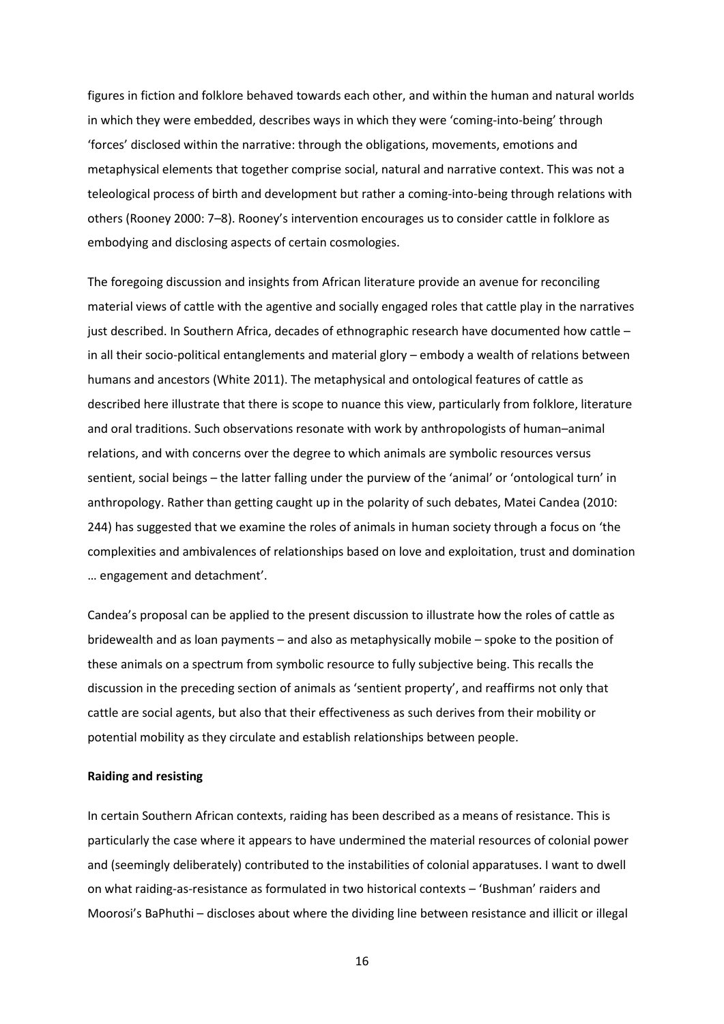figures in fiction and folklore behaved towards each other, and within the human and natural worlds in which they were embedded, describes ways in which they were 'coming-into-being' through 'forces' disclosed within the narrative: through the obligations, movements, emotions and metaphysical elements that together comprise social, natural and narrative context. This was not a teleological process of birth and development but rather a coming-into-being through relations with others (Rooney 2000: 7–8). Rooney's intervention encourages us to consider cattle in folklore as embodying and disclosing aspects of certain cosmologies.

The foregoing discussion and insights from African literature provide an avenue for reconciling material views of cattle with the agentive and socially engaged roles that cattle play in the narratives just described. In Southern Africa, decades of ethnographic research have documented how cattle – in all their socio-political entanglements and material glory – embody a wealth of relations between humans and ancestors (White 2011). The metaphysical and ontological features of cattle as described here illustrate that there is scope to nuance this view, particularly from folklore, literature and oral traditions. Such observations resonate with work by anthropologists of human–animal relations, and with concerns over the degree to which animals are symbolic resources versus sentient, social beings – the latter falling under the purview of the 'animal' or 'ontological turn' in anthropology. Rather than getting caught up in the polarity of such debates, Matei Candea (2010: 244) has suggested that we examine the roles of animals in human society through a focus on 'the complexities and ambivalences of relationships based on love and exploitation, trust and domination … engagement and detachment'.

Candea's proposal can be applied to the present discussion to illustrate how the roles of cattle as bridewealth and as loan payments – and also as metaphysically mobile – spoke to the position of these animals on a spectrum from symbolic resource to fully subjective being. This recalls the discussion in the preceding section of animals as 'sentient property', and reaffirms not only that cattle are social agents, but also that their effectiveness as such derives from their mobility or potential mobility as they circulate and establish relationships between people.

# **Raiding and resisting**

In certain Southern African contexts, raiding has been described as a means of resistance. This is particularly the case where it appears to have undermined the material resources of colonial power and (seemingly deliberately) contributed to the instabilities of colonial apparatuses. I want to dwell on what raiding-as-resistance as formulated in two historical contexts – 'Bushman' raiders and Moorosi's BaPhuthi – discloses about where the dividing line between resistance and illicit or illegal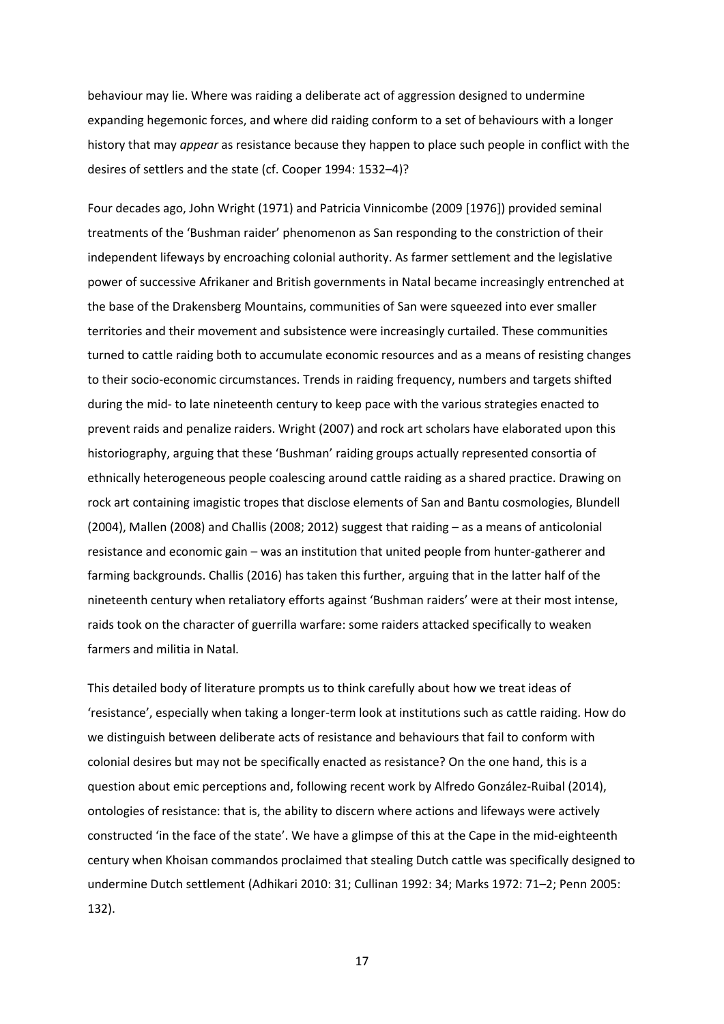behaviour may lie. Where was raiding a deliberate act of aggression designed to undermine expanding hegemonic forces, and where did raiding conform to a set of behaviours with a longer history that may *appear* as resistance because they happen to place such people in conflict with the desires of settlers and the state (cf. Cooper 1994: 1532–4)?

Four decades ago, John Wright (1971) and Patricia Vinnicombe (2009 [1976]) provided seminal treatments of the 'Bushman raider' phenomenon as San responding to the constriction of their independent lifeways by encroaching colonial authority. As farmer settlement and the legislative power of successive Afrikaner and British governments in Natal became increasingly entrenched at the base of the Drakensberg Mountains, communities of San were squeezed into ever smaller territories and their movement and subsistence were increasingly curtailed. These communities turned to cattle raiding both to accumulate economic resources and as a means of resisting changes to their socio-economic circumstances. Trends in raiding frequency, numbers and targets shifted during the mid- to late nineteenth century to keep pace with the various strategies enacted to prevent raids and penalize raiders. Wright (2007) and rock art scholars have elaborated upon this historiography, arguing that these 'Bushman' raiding groups actually represented consortia of ethnically heterogeneous people coalescing around cattle raiding as a shared practice. Drawing on rock art containing imagistic tropes that disclose elements of San and Bantu cosmologies, Blundell (2004), Mallen (2008) and Challis (2008; 2012) suggest that raiding – as a means of anticolonial resistance and economic gain – was an institution that united people from hunter-gatherer and farming backgrounds. Challis (2016) has taken this further, arguing that in the latter half of the nineteenth century when retaliatory efforts against 'Bushman raiders' were at their most intense, raids took on the character of guerrilla warfare: some raiders attacked specifically to weaken farmers and militia in Natal.

This detailed body of literature prompts us to think carefully about how we treat ideas of 'resistance', especially when taking a longer-term look at institutions such as cattle raiding. How do we distinguish between deliberate acts of resistance and behaviours that fail to conform with colonial desires but may not be specifically enacted as resistance? On the one hand, this is a question about emic perceptions and, following recent work by Alfredo González-Ruibal (2014), ontologies of resistance: that is, the ability to discern where actions and lifeways were actively constructed 'in the face of the state'. We have a glimpse of this at the Cape in the mid-eighteenth century when Khoisan commandos proclaimed that stealing Dutch cattle was specifically designed to undermine Dutch settlement (Adhikari 2010: 31; Cullinan 1992: 34; Marks 1972: 71–2; Penn 2005: 132).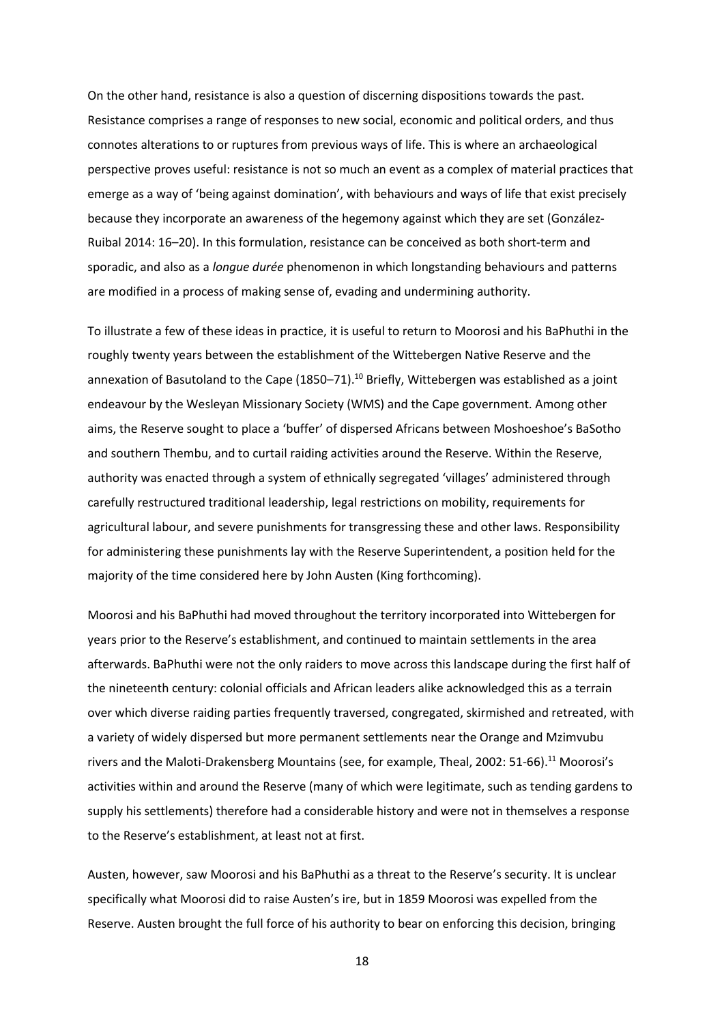On the other hand, resistance is also a question of discerning dispositions towards the past. Resistance comprises a range of responses to new social, economic and political orders, and thus connotes alterations to or ruptures from previous ways of life. This is where an archaeological perspective proves useful: resistance is not so much an event as a complex of material practices that emerge as a way of 'being against domination', with behaviours and ways of life that exist precisely because they incorporate an awareness of the hegemony against which they are set (González-Ruibal 2014: 16–20). In this formulation, resistance can be conceived as both short-term and sporadic, and also as a *longue durée* phenomenon in which longstanding behaviours and patterns are modified in a process of making sense of, evading and undermining authority.

To illustrate a few of these ideas in practice, it is useful to return to Moorosi and his BaPhuthi in the roughly twenty years between the establishment of the Wittebergen Native Reserve and the annexation of Basutoland to the Cape  $(1850-71).^{10}$  Briefly. Wittebergen was established as a joint endeavour by the Wesleyan Missionary Society (WMS) and the Cape government. Among other aims, the Reserve sought to place a 'buffer' of dispersed Africans between Moshoeshoe's BaSotho and southern Thembu, and to curtail raiding activities around the Reserve. Within the Reserve, authority was enacted through a system of ethnically segregated 'villages' administered through carefully restructured traditional leadership, legal restrictions on mobility, requirements for agricultural labour, and severe punishments for transgressing these and other laws. Responsibility for administering these punishments lay with the Reserve Superintendent, a position held for the majority of the time considered here by John Austen (King forthcoming).

Moorosi and his BaPhuthi had moved throughout the territory incorporated into Wittebergen for years prior to the Reserve's establishment, and continued to maintain settlements in the area afterwards. BaPhuthi were not the only raiders to move across this landscape during the first half of the nineteenth century: colonial officials and African leaders alike acknowledged this as a terrain over which diverse raiding parties frequently traversed, congregated, skirmished and retreated, with a variety of widely dispersed but more permanent settlements near the Orange and Mzimvubu rivers and the Maloti-Drakensberg Mountains (see, for example, Theal, 2002: 51-66).<sup>11</sup> Moorosi's activities within and around the Reserve (many of which were legitimate, such as tending gardens to supply his settlements) therefore had a considerable history and were not in themselves a response to the Reserve's establishment, at least not at first.

Austen, however, saw Moorosi and his BaPhuthi as a threat to the Reserve's security. It is unclear specifically what Moorosi did to raise Austen's ire, but in 1859 Moorosi was expelled from the Reserve. Austen brought the full force of his authority to bear on enforcing this decision, bringing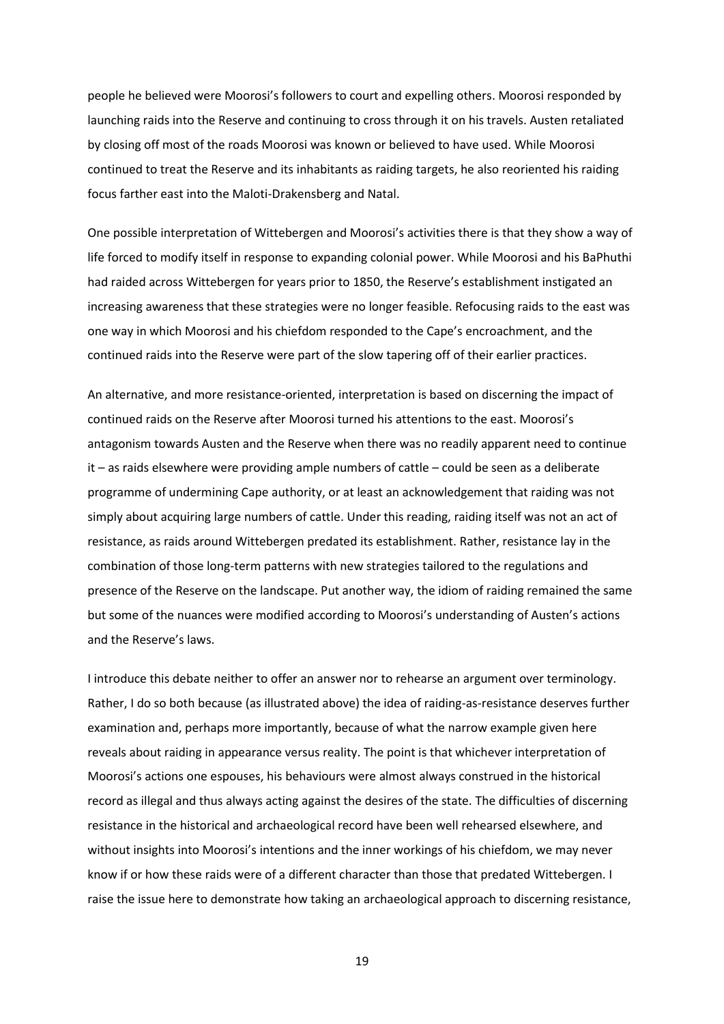people he believed were Moorosi's followers to court and expelling others. Moorosi responded by launching raids into the Reserve and continuing to cross through it on his travels. Austen retaliated by closing off most of the roads Moorosi was known or believed to have used. While Moorosi continued to treat the Reserve and its inhabitants as raiding targets, he also reoriented his raiding focus farther east into the Maloti-Drakensberg and Natal.

One possible interpretation of Wittebergen and Moorosi's activities there is that they show a way of life forced to modify itself in response to expanding colonial power. While Moorosi and his BaPhuthi had raided across Wittebergen for years prior to 1850, the Reserve's establishment instigated an increasing awareness that these strategies were no longer feasible. Refocusing raids to the east was one way in which Moorosi and his chiefdom responded to the Cape's encroachment, and the continued raids into the Reserve were part of the slow tapering off of their earlier practices.

An alternative, and more resistance-oriented, interpretation is based on discerning the impact of continued raids on the Reserve after Moorosi turned his attentions to the east. Moorosi's antagonism towards Austen and the Reserve when there was no readily apparent need to continue it – as raids elsewhere were providing ample numbers of cattle – could be seen as a deliberate programme of undermining Cape authority, or at least an acknowledgement that raiding was not simply about acquiring large numbers of cattle. Under this reading, raiding itself was not an act of resistance, as raids around Wittebergen predated its establishment. Rather, resistance lay in the combination of those long-term patterns with new strategies tailored to the regulations and presence of the Reserve on the landscape. Put another way, the idiom of raiding remained the same but some of the nuances were modified according to Moorosi's understanding of Austen's actions and the Reserve's laws.

I introduce this debate neither to offer an answer nor to rehearse an argument over terminology. Rather, I do so both because (as illustrated above) the idea of raiding-as-resistance deserves further examination and, perhaps more importantly, because of what the narrow example given here reveals about raiding in appearance versus reality. The point is that whichever interpretation of Moorosi's actions one espouses, his behaviours were almost always construed in the historical record as illegal and thus always acting against the desires of the state. The difficulties of discerning resistance in the historical and archaeological record have been well rehearsed elsewhere, and without insights into Moorosi's intentions and the inner workings of his chiefdom, we may never know if or how these raids were of a different character than those that predated Wittebergen. I raise the issue here to demonstrate how taking an archaeological approach to discerning resistance,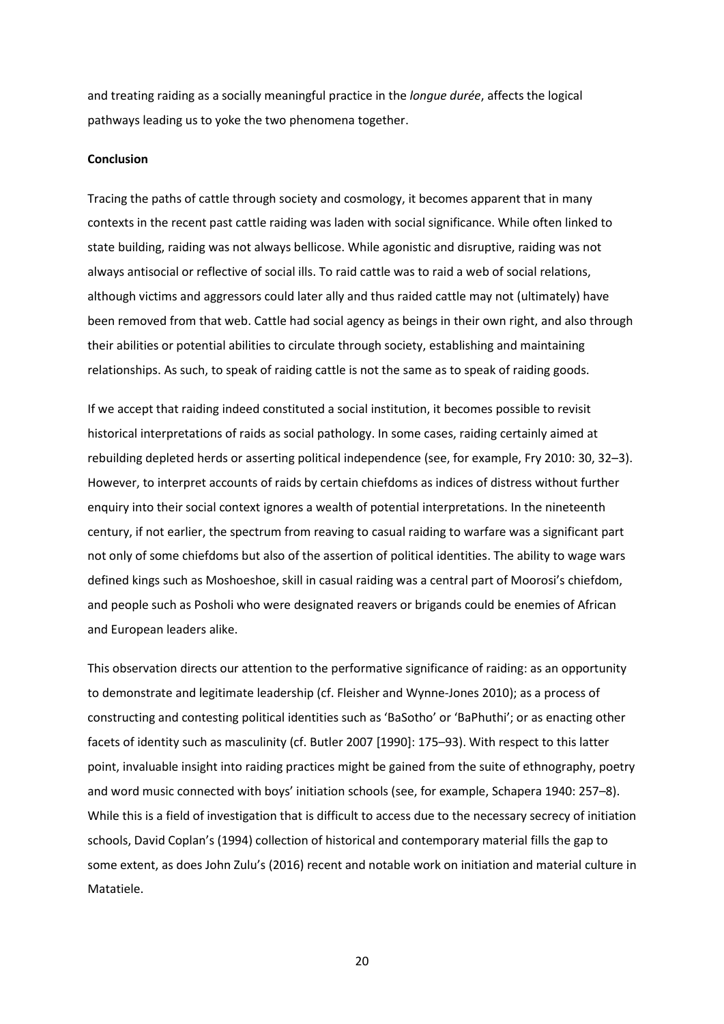and treating raiding as a socially meaningful practice in the *longue durée*, affects the logical pathways leading us to yoke the two phenomena together.

### **Conclusion**

Tracing the paths of cattle through society and cosmology, it becomes apparent that in many contexts in the recent past cattle raiding was laden with social significance. While often linked to state building, raiding was not always bellicose. While agonistic and disruptive, raiding was not always antisocial or reflective of social ills. To raid cattle was to raid a web of social relations, although victims and aggressors could later ally and thus raided cattle may not (ultimately) have been removed from that web. Cattle had social agency as beings in their own right, and also through their abilities or potential abilities to circulate through society, establishing and maintaining relationships. As such, to speak of raiding cattle is not the same as to speak of raiding goods.

If we accept that raiding indeed constituted a social institution, it becomes possible to revisit historical interpretations of raids as social pathology. In some cases, raiding certainly aimed at rebuilding depleted herds or asserting political independence (see, for example, Fry 2010: 30, 32–3). However, to interpret accounts of raids by certain chiefdoms as indices of distress without further enquiry into their social context ignores a wealth of potential interpretations. In the nineteenth century, if not earlier, the spectrum from reaving to casual raiding to warfare was a significant part not only of some chiefdoms but also of the assertion of political identities. The ability to wage wars defined kings such as Moshoeshoe, skill in casual raiding was a central part of Moorosi's chiefdom, and people such as Posholi who were designated reavers or brigands could be enemies of African and European leaders alike.

This observation directs our attention to the performative significance of raiding: as an opportunity to demonstrate and legitimate leadership (cf. Fleisher and Wynne-Jones 2010); as a process of constructing and contesting political identities such as 'BaSotho' or 'BaPhuthi'; or as enacting other facets of identity such as masculinity (cf. Butler 2007 [1990]: 175–93). With respect to this latter point, invaluable insight into raiding practices might be gained from the suite of ethnography, poetry and word music connected with boys' initiation schools (see, for example, Schapera 1940: 257–8). While this is a field of investigation that is difficult to access due to the necessary secrecy of initiation schools, David Coplan's (1994) collection of historical and contemporary material fills the gap to some extent, as does John Zulu's (2016) recent and notable work on initiation and material culture in Matatiele.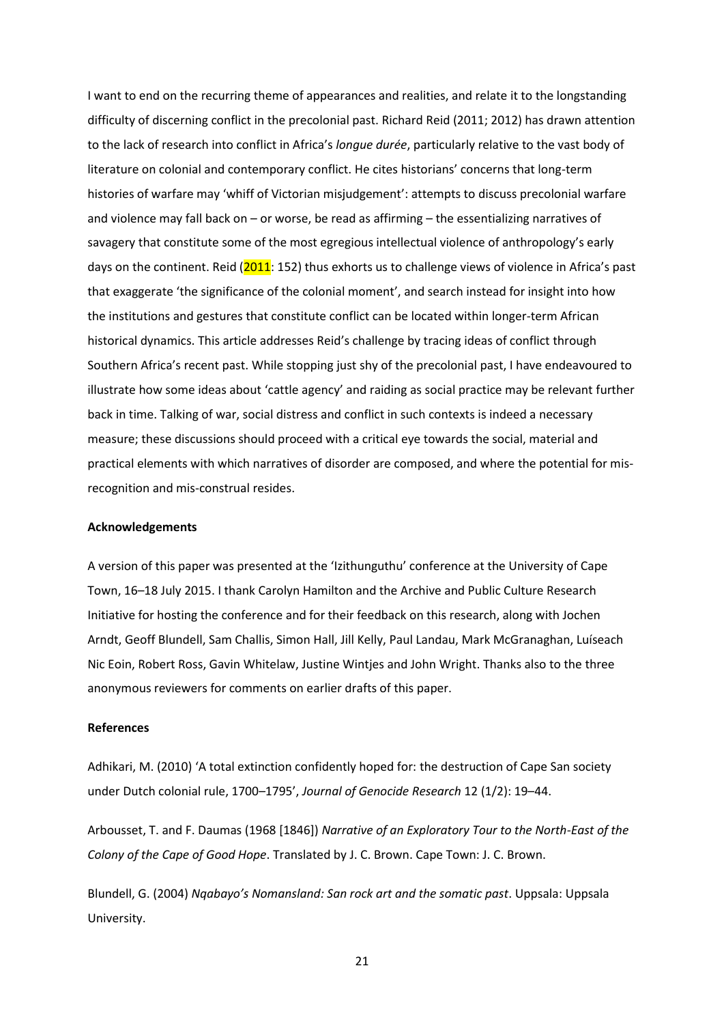I want to end on the recurring theme of appearances and realities, and relate it to the longstanding difficulty of discerning conflict in the precolonial past. Richard Reid (2011; 2012) has drawn attention to the lack of research into conflict in Africa's *longue durée*, particularly relative to the vast body of literature on colonial and contemporary conflict. He cites historians' concerns that long-term histories of warfare may 'whiff of Victorian misjudgement': attempts to discuss precolonial warfare and violence may fall back on – or worse, be read as affirming – the essentializing narratives of savagery that constitute some of the most egregious intellectual violence of anthropology's early days on the continent. Reid (2011: 152) thus exhorts us to challenge views of violence in Africa's past that exaggerate 'the significance of the colonial moment', and search instead for insight into how the institutions and gestures that constitute conflict can be located within longer-term African historical dynamics. This article addresses Reid's challenge by tracing ideas of conflict through Southern Africa's recent past. While stopping just shy of the precolonial past, I have endeavoured to illustrate how some ideas about 'cattle agency' and raiding as social practice may be relevant further back in time. Talking of war, social distress and conflict in such contexts is indeed a necessary measure; these discussions should proceed with a critical eye towards the social, material and practical elements with which narratives of disorder are composed, and where the potential for misrecognition and mis-construal resides.

### **Acknowledgements**

A version of this paper was presented at the 'Izithunguthu' conference at the University of Cape Town, 16–18 July 2015. I thank Carolyn Hamilton and the Archive and Public Culture Research Initiative for hosting the conference and for their feedback on this research, along with Jochen Arndt, Geoff Blundell, Sam Challis, Simon Hall, Jill Kelly, Paul Landau, Mark McGranaghan, Luíseach Nic Eoin, Robert Ross, Gavin Whitelaw, Justine Wintjes and John Wright. Thanks also to the three anonymous reviewers for comments on earlier drafts of this paper.

## **References**

Adhikari, M. (2010) 'A total extinction confidently hoped for: the destruction of Cape San society under Dutch colonial rule, 1700–1795', *Journal of Genocide Research* 12 (1/2): 19–44.

Arbousset, T. and F. Daumas (1968 [1846]) *Narrative of an Exploratory Tour to the North-East of the Colony of the Cape of Good Hope*. Translated by J. C. Brown. Cape Town: J. C. Brown.

Blundell, G. (2004) *Nqabayo's Nomansland: San rock art and the somatic past*. Uppsala: Uppsala University.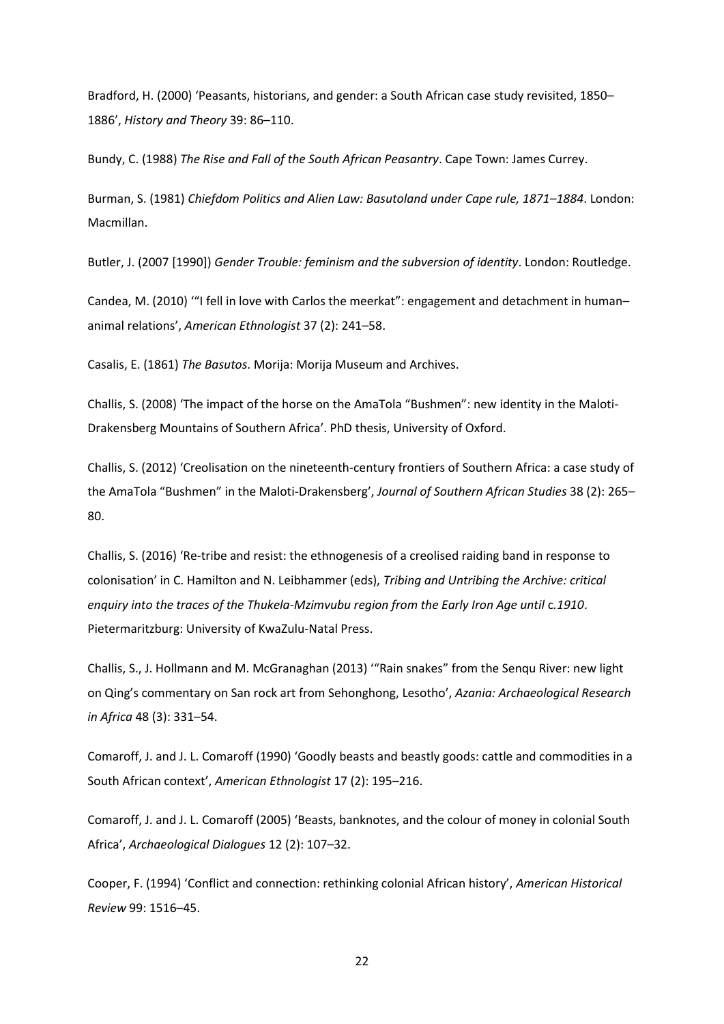Bradford, H. (2000) 'Peasants, historians, and gender: a South African case study revisited, 1850– 1886', *History and Theory* 39: 86–110.

Bundy, C. (1988) *The Rise and Fall of the South African Peasantry*. Cape Town: James Currey.

Burman, S. (1981) *Chiefdom Politics and Alien Law: Basutoland under Cape rule, 1871–1884*. London: Macmillan.

Butler, J. (2007 [1990]) *Gender Trouble: feminism and the subversion of identity*. London: Routledge.

Candea, M. (2010) '"I fell in love with Carlos the meerkat": engagement and detachment in human– animal relations', *American Ethnologist* 37 (2): 241–58.

Casalis, E. (1861) *The Basutos*. Morija: Morija Museum and Archives.

Challis, S. (2008) 'The impact of the horse on the AmaTola "Bushmen": new identity in the Maloti-Drakensberg Mountains of Southern Africa'. PhD thesis, University of Oxford.

Challis, S. (2012) 'Creolisation on the nineteenth-century frontiers of Southern Africa: a case study of the AmaTola "Bushmen" in the Maloti-Drakensberg', *Journal of Southern African Studies* 38 (2): 265– 80.

Challis, S. (2016) 'Re-tribe and resist: the ethnogenesis of a creolised raiding band in response to colonisation' in C. Hamilton and N. Leibhammer (eds), *Tribing and Untribing the Archive: critical*  enquiry into the traces of the Thukela-Mzimvubu region from the Early Iron Age until c.1910. Pietermaritzburg: University of KwaZulu-Natal Press.

Challis, S., J. Hollmann and M. McGranaghan (2013) '"Rain snakes" from the Senqu River: new light on Qing's commentary on San rock art from Sehonghong, Lesotho', *Azania: Archaeological Research in Africa* 48 (3): 331–54.

Comaroff, J. and J. L. Comaroff (1990) 'Goodly beasts and beastly goods: cattle and commodities in a South African context', *American Ethnologist* 17 (2): 195–216.

Comaroff, J. and J. L. Comaroff (2005) 'Beasts, banknotes, and the colour of money in colonial South Africa', *Archaeological Dialogues* 12 (2): 107–32.

Cooper, F. (1994) 'Conflict and connection: rethinking colonial African history', *American Historical Review* 99: 1516–45.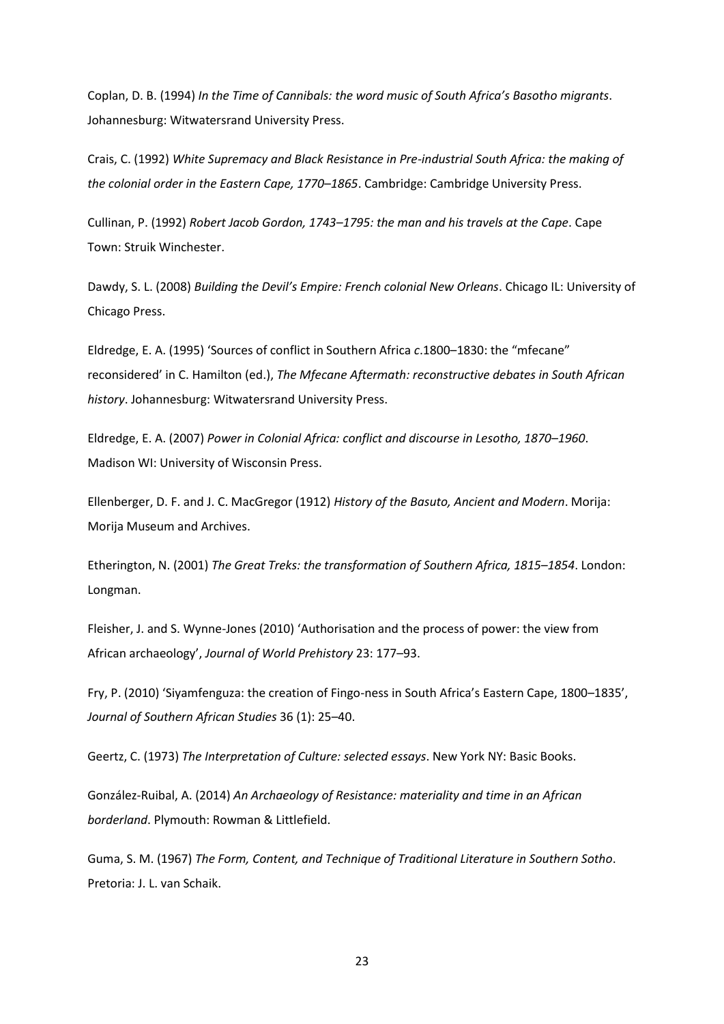Coplan, D. B. (1994) *In the Time of Cannibals: the word music of South Africa's Basotho migrants*. Johannesburg: Witwatersrand University Press.

Crais, C. (1992) *White Supremacy and Black Resistance in Pre-industrial South Africa: the making of the colonial order in the Eastern Cape, 1770–1865*. Cambridge: Cambridge University Press.

Cullinan, P. (1992) *Robert Jacob Gordon, 1743–1795: the man and his travels at the Cape*. Cape Town: Struik Winchester.

Dawdy, S. L. (2008) *Building the Devil's Empire: French colonial New Orleans*. Chicago IL: University of Chicago Press.

Eldredge, E. A. (1995) 'Sources of conflict in Southern Africa *c*.1800–1830: the "mfecane" reconsidered' in C. Hamilton (ed.), *The Mfecane Aftermath: reconstructive debates in South African history*. Johannesburg: Witwatersrand University Press.

Eldredge, E. A. (2007) *Power in Colonial Africa: conflict and discourse in Lesotho, 1870–1960*. Madison WI: University of Wisconsin Press.

Ellenberger, D. F. and J. C. MacGregor (1912) *History of the Basuto, Ancient and Modern*. Morija: Morija Museum and Archives.

Etherington, N. (2001) *The Great Treks: the transformation of Southern Africa, 1815–1854*. London: Longman.

Fleisher, J. and S. Wynne-Jones (2010) 'Authorisation and the process of power: the view from African archaeology', *Journal of World Prehistory* 23: 177–93.

Fry, P. (2010) 'Siyamfenguza: the creation of Fingo-ness in South Africa's Eastern Cape, 1800–1835', *Journal of Southern African Studies* 36 (1): 25–40.

Geertz, C. (1973) *The Interpretation of Culture: selected essays*. New York NY: Basic Books.

González-Ruibal, A. (2014) *An Archaeology of Resistance: materiality and time in an African borderland*. Plymouth: Rowman & Littlefield.

Guma, S. M. (1967) *The Form, Content, and Technique of Traditional Literature in Southern Sotho*. Pretoria: J. L. van Schaik.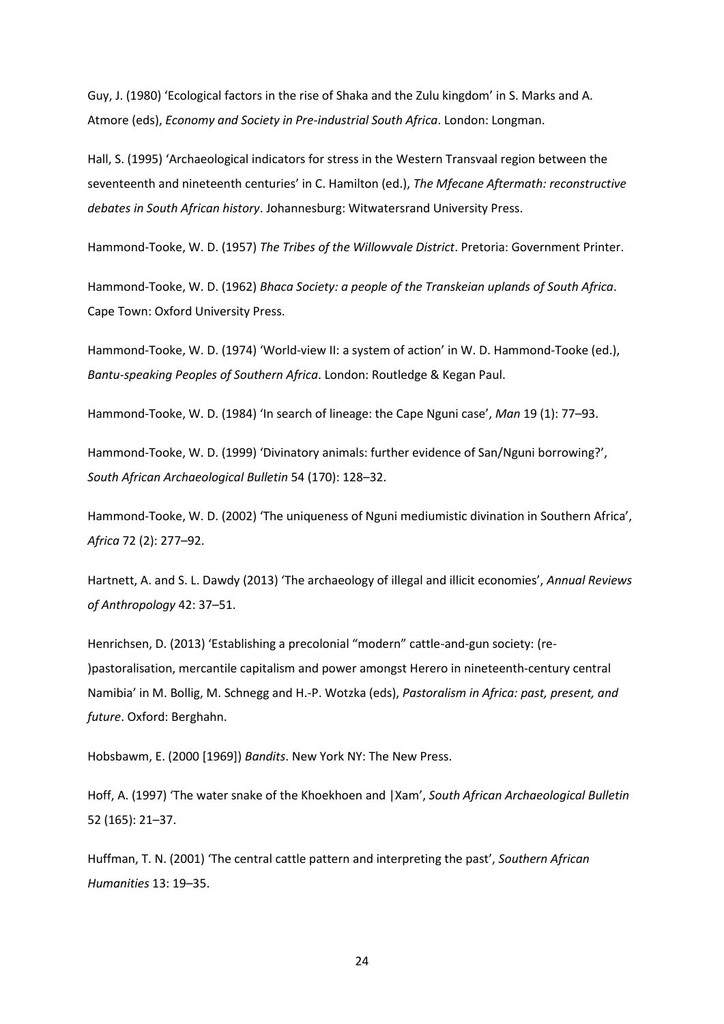Guy, J. (1980) 'Ecological factors in the rise of Shaka and the Zulu kingdom' in S. Marks and A. Atmore (eds), *Economy and Society in Pre-industrial South Africa*. London: Longman.

Hall, S. (1995) 'Archaeological indicators for stress in the Western Transvaal region between the seventeenth and nineteenth centuries' in C. Hamilton (ed.), *The Mfecane Aftermath: reconstructive debates in South African history*. Johannesburg: Witwatersrand University Press.

Hammond-Tooke, W. D. (1957) *The Tribes of the Willowvale District*. Pretoria: Government Printer.

Hammond-Tooke, W. D. (1962) *Bhaca Society: a people of the Transkeian uplands of South Africa*. Cape Town: Oxford University Press.

Hammond-Tooke, W. D. (1974) 'World-view II: a system of action' in W. D. Hammond-Tooke (ed.), *Bantu-speaking Peoples of Southern Africa*. London: Routledge & Kegan Paul.

Hammond-Tooke, W. D. (1984) 'In search of lineage: the Cape Nguni case', *Man* 19 (1): 77–93.

Hammond-Tooke, W. D. (1999) 'Divinatory animals: further evidence of San/Nguni borrowing?', *South African Archaeological Bulletin* 54 (170): 128–32.

Hammond-Tooke, W. D. (2002) 'The uniqueness of Nguni mediumistic divination in Southern Africa', *Africa* 72 (2): 277–92.

Hartnett, A. and S. L. Dawdy (2013) 'The archaeology of illegal and illicit economies', *Annual Reviews of Anthropology* 42: 37–51.

Henrichsen, D. (2013) 'Establishing a precolonial "modern" cattle-and-gun society: (re- )pastoralisation, mercantile capitalism and power amongst Herero in nineteenth-century central Namibia' in M. Bollig, M. Schnegg and H.-P. Wotzka (eds), *Pastoralism in Africa: past, present, and future*. Oxford: Berghahn.

Hobsbawm, E. (2000 [1969]) *Bandits*. New York NY: The New Press.

Hoff, A. (1997) 'The water snake of the Khoekhoen and |Xam', *South African Archaeological Bulletin*  52 (165): 21–37.

Huffman, T. N. (2001) 'The central cattle pattern and interpreting the past', *Southern African Humanities* 13: 19–35.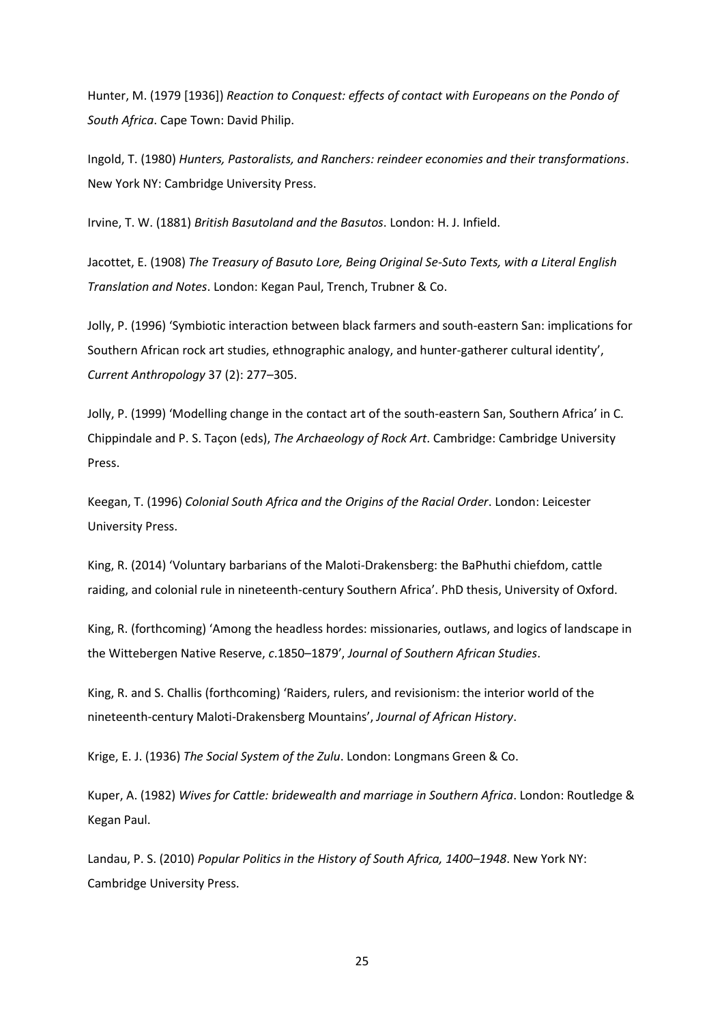Hunter, M. (1979 [1936]) *Reaction to Conquest: effects of contact with Europeans on the Pondo of South Africa*. Cape Town: David Philip.

Ingold, T. (1980) *Hunters, Pastoralists, and Ranchers: reindeer economies and their transformations*. New York NY: Cambridge University Press.

Irvine, T. W. (1881) *British Basutoland and the Basutos*. London: H. J. Infield.

Jacottet, E. (1908) *The Treasury of Basuto Lore, Being Original Se-Suto Texts, with a Literal English Translation and Notes*. London: Kegan Paul, Trench, Trubner & Co.

Jolly, P. (1996) 'Symbiotic interaction between black farmers and south-eastern San: implications for Southern African rock art studies, ethnographic analogy, and hunter-gatherer cultural identity', *Current Anthropology* 37 (2): 277–305.

Jolly, P. (1999) 'Modelling change in the contact art of the south-eastern San, Southern Africa' in C. Chippindale and P. S. Taçon (eds), *The Archaeology of Rock Art*. Cambridge: Cambridge University Press.

Keegan, T. (1996) *Colonial South Africa and the Origins of the Racial Order*. London: Leicester University Press.

King, R. (2014) 'Voluntary barbarians of the Maloti-Drakensberg: the BaPhuthi chiefdom, cattle raiding, and colonial rule in nineteenth-century Southern Africa'. PhD thesis, University of Oxford.

King, R. (forthcoming) 'Among the headless hordes: missionaries, outlaws, and logics of landscape in the Wittebergen Native Reserve, *c*.1850–1879', *Journal of Southern African Studies*.

King, R. and S. Challis (forthcoming) 'Raiders, rulers, and revisionism: the interior world of the nineteenth-century Maloti-Drakensberg Mountains', *Journal of African History*.

Krige, E. J. (1936) *The Social System of the Zulu*. London: Longmans Green & Co.

Kuper, A. (1982) *Wives for Cattle: bridewealth and marriage in Southern Africa*. London: Routledge & Kegan Paul.

Landau, P. S. (2010) *Popular Politics in the History of South Africa, 1400–1948*. New York NY: Cambridge University Press.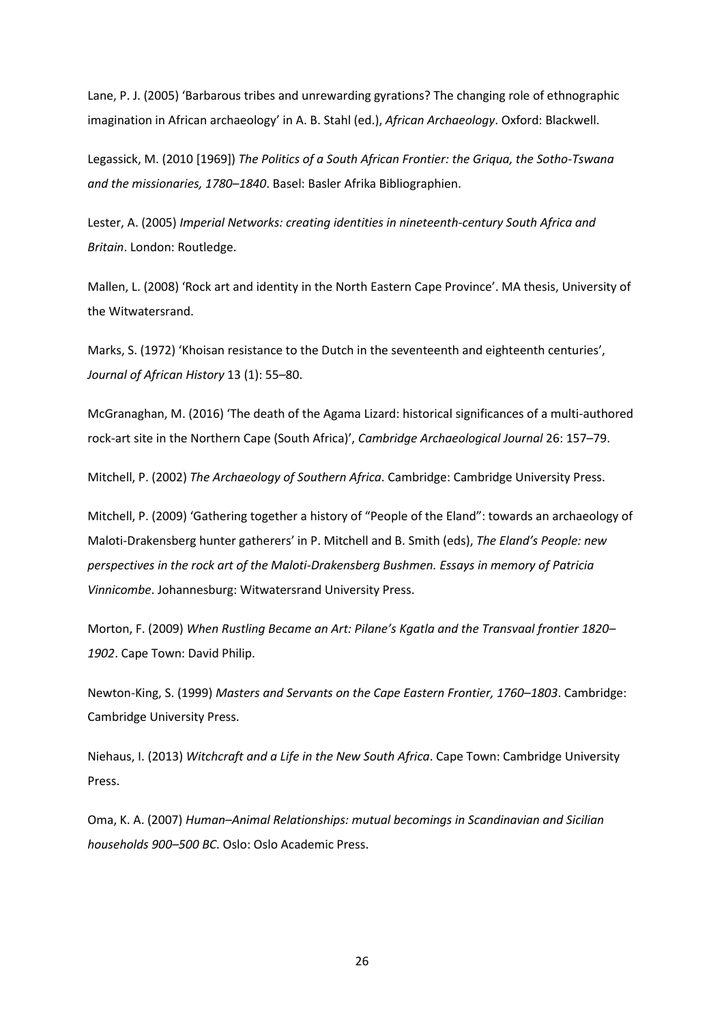Lane, P. J. (2005) 'Barbarous tribes and unrewarding gyrations? The changing role of ethnographic imagination in African archaeology' in A. B. Stahl (ed.), *African Archaeology*. Oxford: Blackwell.

Legassick, M. (2010 [1969]) *The Politics of a South African Frontier: the Griqua, the Sotho-Tswana and the missionaries, 1780–1840*. Basel: Basler Afrika Bibliographien.

Lester, A. (2005) *Imperial Networks: creating identities in nineteenth-century South Africa and Britain*. London: Routledge.

Mallen, L. (2008) 'Rock art and identity in the North Eastern Cape Province'. MA thesis, University of the Witwatersrand.

Marks, S. (1972) 'Khoisan resistance to the Dutch in the seventeenth and eighteenth centuries', *Journal of African History* 13 (1): 55–80.

McGranaghan, M. (2016) 'The death of the Agama Lizard: historical significances of a multi-authored rock-art site in the Northern Cape (South Africa)', *Cambridge Archaeological Journal* 26: 157–79.

Mitchell, P. (2002) *The Archaeology of Southern Africa*. Cambridge: Cambridge University Press.

Mitchell, P. (2009) 'Gathering together a history of "People of the Eland": towards an archaeology of Maloti-Drakensberg hunter gatherers' in P. Mitchell and B. Smith (eds), *The Eland's People: new perspectives in the rock art of the Maloti-Drakensberg Bushmen. Essays in memory of Patricia Vinnicombe*. Johannesburg: Witwatersrand University Press.

Morton, F. (2009) *When Rustling Became an Art: Pilane's Kgatla and the Transvaal frontier 1820– 1902*. Cape Town: David Philip.

Newton-King, S. (1999) *Masters and Servants on the Cape Eastern Frontier, 1760–1803*. Cambridge: Cambridge University Press.

Niehaus, I. (2013) *Witchcraft and a Life in the New South Africa*. Cape Town: Cambridge University Press.

Oma, K. A. (2007) *Human–Animal Relationships: mutual becomings in Scandinavian and Sicilian households 900–500 BC*. Oslo: Oslo Academic Press.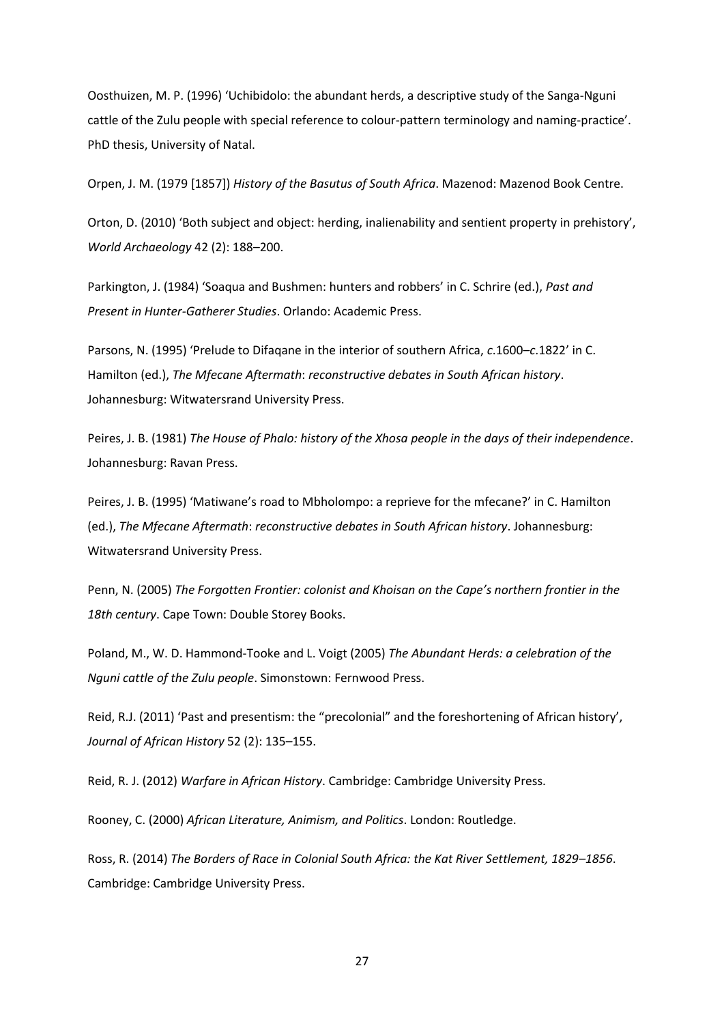Oosthuizen, M. P. (1996) 'Uchibidolo: the abundant herds, a descriptive study of the Sanga-Nguni cattle of the Zulu people with special reference to colour-pattern terminology and naming-practice'. PhD thesis, University of Natal.

Orpen, J. M. (1979 [1857]) *History of the Basutus of South Africa*. Mazenod: Mazenod Book Centre.

Orton, D. (2010) 'Both subject and object: herding, inalienability and sentient property in prehistory', *World Archaeology* 42 (2): 188–200.

Parkington, J. (1984) 'Soaqua and Bushmen: hunters and robbers' in C. Schrire (ed.), *Past and Present in Hunter-Gatherer Studies*. Orlando: Academic Press.

Parsons, N. (1995) 'Prelude to Difaqane in the interior of southern Africa, *c*.1600–*c*.1822' in C. Hamilton (ed.), *The Mfecane Aftermath*: *reconstructive debates in South African history*. Johannesburg: Witwatersrand University Press.

Peires, J. B. (1981) *The House of Phalo: history of the Xhosa people in the days of their independence*. Johannesburg: Ravan Press.

Peires, J. B. (1995) 'Matiwane's road to Mbholompo: a reprieve for the mfecane?' in C. Hamilton (ed.), *The Mfecane Aftermath*: *reconstructive debates in South African history*. Johannesburg: Witwatersrand University Press.

Penn, N. (2005) *The Forgotten Frontier: colonist and Khoisan on the Cape's northern frontier in the 18th century*. Cape Town: Double Storey Books.

Poland, M., W. D. Hammond-Tooke and L. Voigt (2005) *The Abundant Herds: a celebration of the Nguni cattle of the Zulu people*. Simonstown: Fernwood Press.

Reid, R.J. (2011) 'Past and presentism: the "precolonial" and the foreshortening of African history', *Journal of African History* 52 (2): 135–155.

Reid, R. J. (2012) *Warfare in African History*. Cambridge: Cambridge University Press.

Rooney, C. (2000) *African Literature, Animism, and Politics*. London: Routledge.

Ross, R. (2014) *The Borders of Race in Colonial South Africa: the Kat River Settlement, 1829–1856*. Cambridge: Cambridge University Press.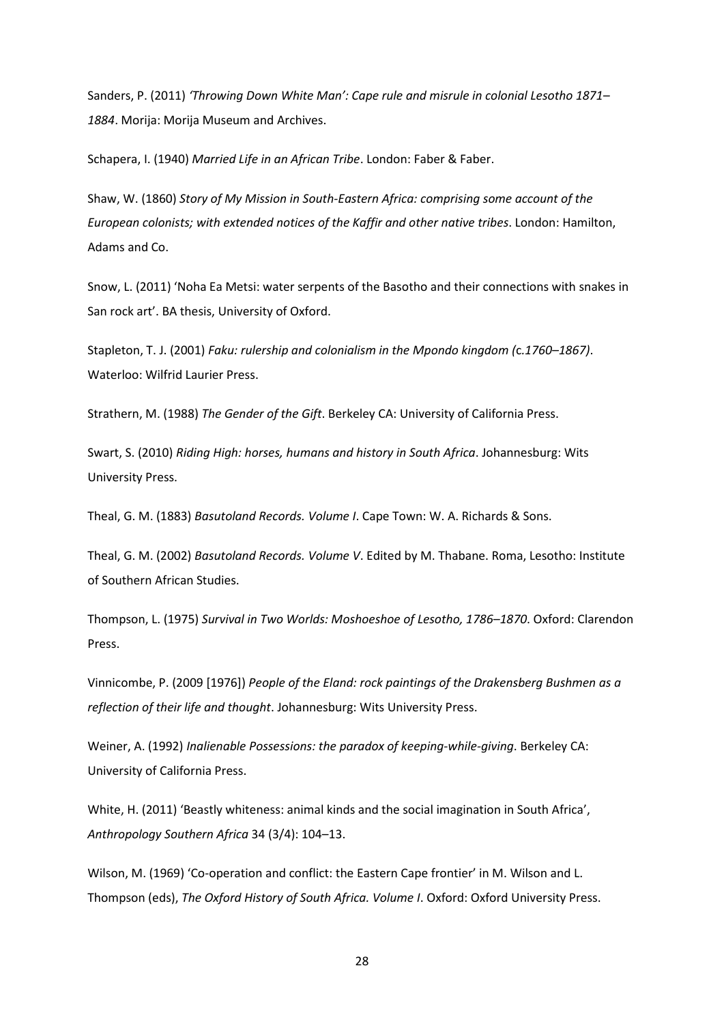Sanders, P. (2011) *'Throwing Down White Man': Cape rule and misrule in colonial Lesotho 1871– 1884*. Morija: Morija Museum and Archives.

Schapera, I. (1940) *Married Life in an African Tribe*. London: Faber & Faber.

Shaw, W. (1860) *Story of My Mission in South-Eastern Africa: comprising some account of the European colonists; with extended notices of the Kaffir and other native tribes*. London: Hamilton, Adams and Co.

Snow, L. (2011) 'Noha Ea Metsi: water serpents of the Basotho and their connections with snakes in San rock art'. BA thesis, University of Oxford.

Stapleton, T. J. (2001) *Faku: rulership and colonialism in the Mpondo kingdom (*c*.1760–1867)*. Waterloo: Wilfrid Laurier Press.

Strathern, M. (1988) *The Gender of the Gift*. Berkeley CA: University of California Press.

Swart, S. (2010) *Riding High: horses, humans and history in South Africa*. Johannesburg: Wits University Press.

Theal, G. M. (1883) *Basutoland Records. Volume I*. Cape Town: W. A. Richards & Sons.

Theal, G. M. (2002) *Basutoland Records. Volume V*. Edited by M. Thabane. Roma, Lesotho: Institute of Southern African Studies.

Thompson, L. (1975) *Survival in Two Worlds: Moshoeshoe of Lesotho, 1786–1870*. Oxford: Clarendon Press.

Vinnicombe, P. (2009 [1976]) *People of the Eland: rock paintings of the Drakensberg Bushmen as a reflection of their life and thought*. Johannesburg: Wits University Press.

Weiner, A. (1992) *Inalienable Possessions: the paradox of keeping-while-giving*. Berkeley CA: University of California Press.

White, H. (2011) 'Beastly whiteness: animal kinds and the social imagination in South Africa', *Anthropology Southern Africa* 34 (3/4): 104–13.

Wilson, M. (1969) 'Co-operation and conflict: the Eastern Cape frontier' in M. Wilson and L. Thompson (eds), *The Oxford History of South Africa. Volume I*. Oxford: Oxford University Press.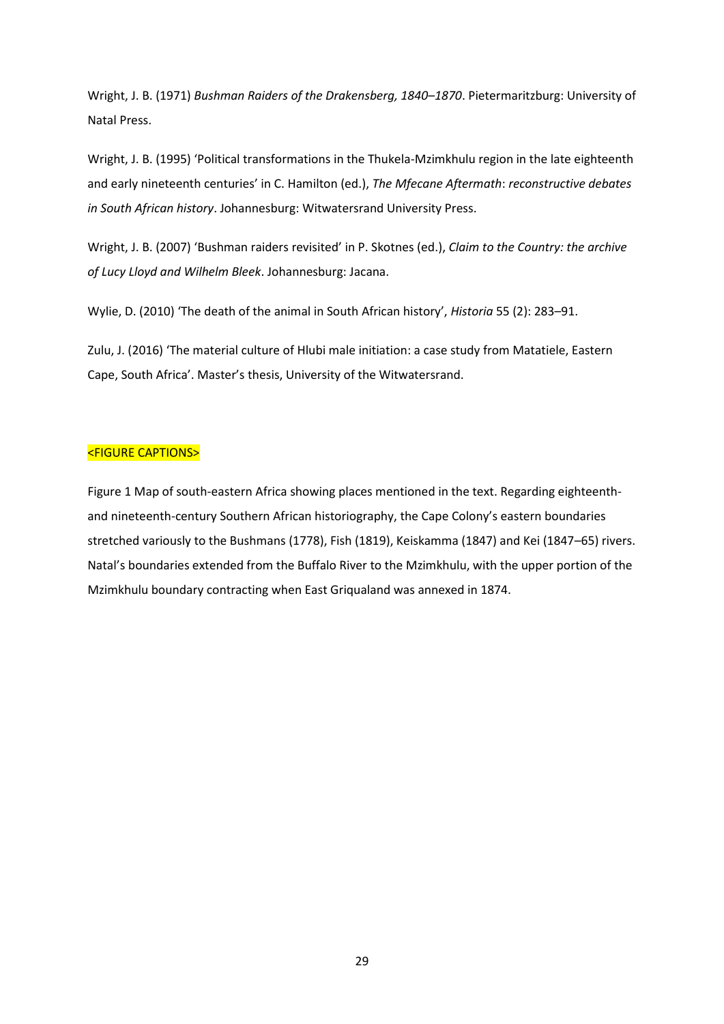Wright, J. B. (1971) *Bushman Raiders of the Drakensberg, 1840–1870*. Pietermaritzburg: University of Natal Press.

Wright, J. B. (1995) 'Political transformations in the Thukela-Mzimkhulu region in the late eighteenth and early nineteenth centuries' in C. Hamilton (ed.), *The Mfecane Aftermath*: *reconstructive debates in South African history*. Johannesburg: Witwatersrand University Press.

Wright, J. B. (2007) 'Bushman raiders revisited' in P. Skotnes (ed.), *Claim to the Country: the archive of Lucy Lloyd and Wilhelm Bleek*. Johannesburg: Jacana.

Wylie, D. (2010) 'The death of the animal in South African history', *Historia* 55 (2): 283–91.

Zulu, J. (2016) 'The material culture of Hlubi male initiation: a case study from Matatiele, Eastern Cape, South Africa'. Master's thesis, University of the Witwatersrand.

## <FIGURE CAPTIONS>

Figure 1 Map of south-eastern Africa showing places mentioned in the text. Regarding eighteenthand nineteenth-century Southern African historiography, the Cape Colony's eastern boundaries stretched variously to the Bushmans (1778), Fish (1819), Keiskamma (1847) and Kei (1847–65) rivers. Natal's boundaries extended from the Buffalo River to the Mzimkhulu, with the upper portion of the Mzimkhulu boundary contracting when East Griqualand was annexed in 1874.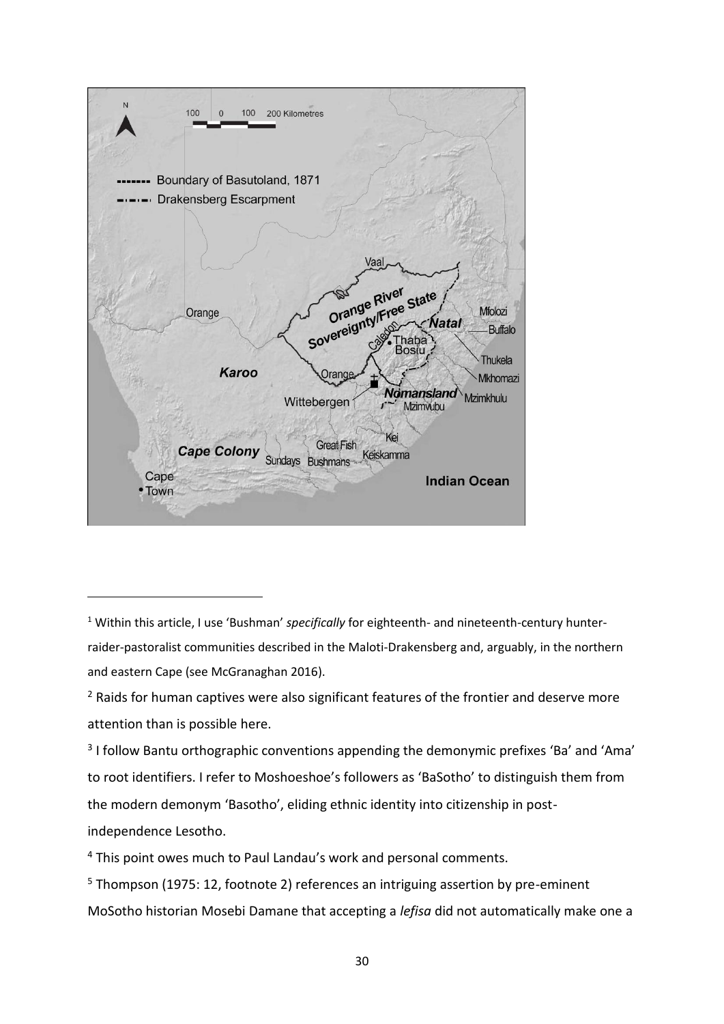

<sup>2</sup> Raids for human captives were also significant features of the frontier and deserve more attention than is possible here.

<sup>3</sup> I follow Bantu orthographic conventions appending the demonymic prefixes 'Ba' and 'Ama' to root identifiers. I refer to Moshoeshoe's followers as 'BaSotho' to distinguish them from the modern demonym 'Basotho', eliding ethnic identity into citizenship in postindependence Lesotho.

<sup>4</sup> This point owes much to Paul Landau's work and personal comments.

1

<sup>5</sup> Thompson (1975: 12, footnote 2) references an intriguing assertion by pre-eminent MoSotho historian Mosebi Damane that accepting a *lefisa* did not automatically make one a

<sup>1</sup> Within this article, I use 'Bushman' *specifically* for eighteenth- and nineteenth-century hunterraider-pastoralist communities described in the Maloti-Drakensberg and, arguably, in the northern and eastern Cape (see McGranaghan 2016).